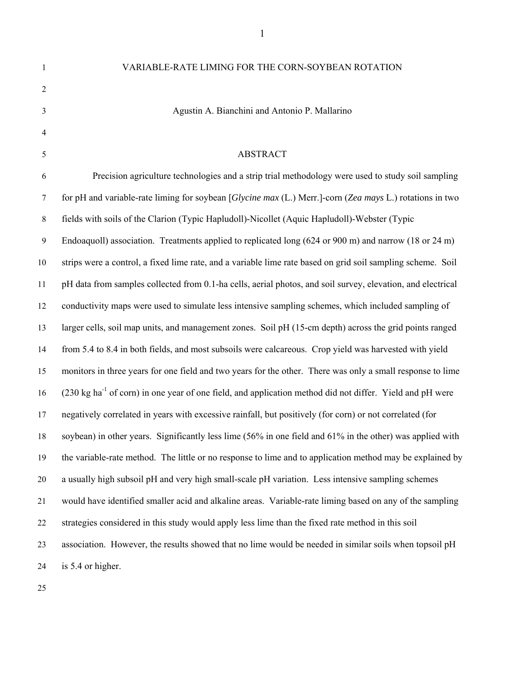| $\mathbf{1}$   | VARIABLE-RATE LIMING FOR THE CORN-SOYBEAN ROTATION                                                                   |
|----------------|----------------------------------------------------------------------------------------------------------------------|
| $\overline{2}$ |                                                                                                                      |
| $\mathfrak{Z}$ | Agustin A. Bianchini and Antonio P. Mallarino                                                                        |
| $\overline{4}$ |                                                                                                                      |
| 5              | <b>ABSTRACT</b>                                                                                                      |
| 6              | Precision agriculture technologies and a strip trial methodology were used to study soil sampling                    |
| $\tau$         | for pH and variable-rate liming for soybean [Glycine max (L.) Merr.]-corn (Zea mays L.) rotations in two             |
| 8              | fields with soils of the Clarion (Typic Hapludoll)-Nicollet (Aquic Hapludoll)-Webster (Typic                         |
| 9              | Endoaquoll) association. Treatments applied to replicated long (624 or 900 m) and narrow (18 or 24 m)                |
| 10             | strips were a control, a fixed lime rate, and a variable lime rate based on grid soil sampling scheme. Soil          |
| 11             | pH data from samples collected from 0.1-ha cells, aerial photos, and soil survey, elevation, and electrical          |
| 12             | conductivity maps were used to simulate less intensive sampling schemes, which included sampling of                  |
| 13             | larger cells, soil map units, and management zones. Soil pH (15-cm depth) across the grid points ranged              |
| 14             | from 5.4 to 8.4 in both fields, and most subsoils were calcareous. Crop yield was harvested with yield               |
| 15             | monitors in three years for one field and two years for the other. There was only a small response to lime           |
| 16             | (230 kg ha <sup>-1</sup> of corn) in one year of one field, and application method did not differ. Yield and pH were |
| 17             | negatively correlated in years with excessive rainfall, but positively (for corn) or not correlated (for             |
| 18             | soybean) in other years. Significantly less lime (56% in one field and 61% in the other) was applied with            |
| 19             | the variable-rate method. The little or no response to lime and to application method may be explained by            |
| 20             | a usually high subsoil pH and very high small-scale pH variation. Less intensive sampling schemes                    |
| 21             | would have identified smaller acid and alkaline areas. Variable-rate liming based on any of the sampling             |
| 22             | strategies considered in this study would apply less lime than the fixed rate method in this soil                    |
| 23             | association. However, the results showed that no lime would be needed in similar soils when topsoil pH               |
| 24             | is 5.4 or higher.                                                                                                    |
|                |                                                                                                                      |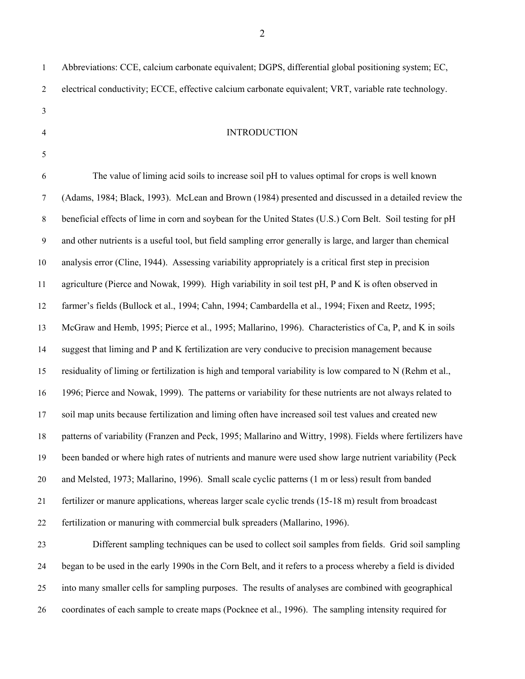1 Abbreviations: CCE, calcium carbonate equivalent; DGPS, differential global positioning system; EC, 2 electrical conductivity; ECCE, effective calcium carbonate equivalent; VRT, variable rate technology. 3 4 INTRODUCTION 5 6 The value of liming acid soils to increase soil pH to values optimal for crops is well known 7 (Adams, 1984; Black, 1993). McLean and Brown (1984) presented and discussed in a detailed review the 8 beneficial effects of lime in corn and soybean for the United States (U.S.) Corn Belt. Soil testing for pH 9 and other nutrients is a useful tool, but field sampling error generally is large, and larger than chemical 10 analysis error (Cline, 1944). Assessing variability appropriately is a critical first step in precision 11 agriculture (Pierce and Nowak, 1999). High variability in soil test pH, P and K is often observed in 12 farmer's fields (Bullock et al., 1994; Cahn, 1994; Cambardella et al., 1994; Fixen and Reetz, 1995; 13 McGraw and Hemb, 1995; Pierce et al., 1995; Mallarino, 1996). Characteristics of Ca, P, and K in soils 14 suggest that liming and P and K fertilization are very conducive to precision management because 15 residuality of liming or fertilization is high and temporal variability is low compared to N (Rehm et al., 16 1996; Pierce and Nowak, 1999). The patterns or variability for these nutrients are not always related to 17 soil map units because fertilization and liming often have increased soil test values and created new 18 patterns of variability (Franzen and Peck, 1995; Mallarino and Wittry, 1998). Fields where fertilizers have 19 been banded or where high rates of nutrients and manure were used show large nutrient variability (Peck 20 and Melsted, 1973; Mallarino, 1996). Small scale cyclic patterns (1 m or less) result from banded 21 fertilizer or manure applications, whereas larger scale cyclic trends (15-18 m) result from broadcast 22 fertilization or manuring with commercial bulk spreaders (Mallarino, 1996). 23 Different sampling techniques can be used to collect soil samples from fields. Grid soil sampling

24 began to be used in the early 1990s in the Corn Belt, and it refers to a process whereby a field is divided 25 into many smaller cells for sampling purposes. The results of analyses are combined with geographical 26 coordinates of each sample to create maps (Pocknee et al., 1996). The sampling intensity required for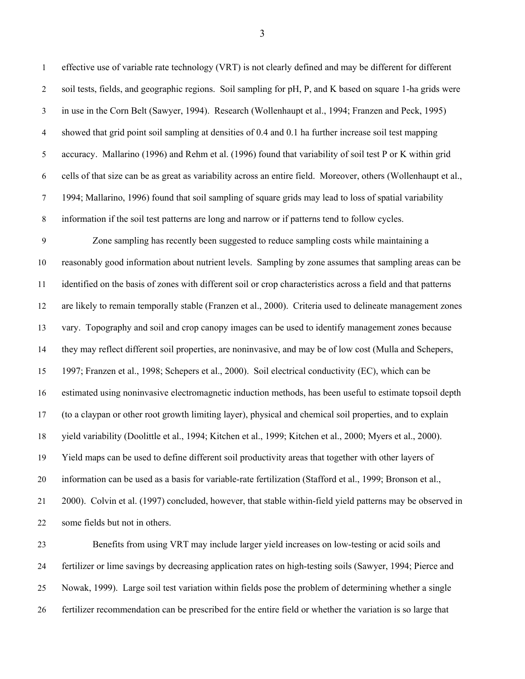1 effective use of variable rate technology (VRT) is not clearly defined and may be different for different 2 soil tests, fields, and geographic regions. Soil sampling for pH, P, and K based on square 1-ha grids were 3 in use in the Corn Belt (Sawyer, 1994). Research (Wollenhaupt et al., 1994; Franzen and Peck, 1995) 4 showed that grid point soil sampling at densities of 0.4 and 0.1 ha further increase soil test mapping 5 accuracy. Mallarino (1996) and Rehm et al. (1996) found that variability of soil test P or K within grid 6 cells of that size can be as great as variability across an entire field. Moreover, others (Wollenhaupt et al., 7 1994; Mallarino, 1996) found that soil sampling of square grids may lead to loss of spatial variability 8 information if the soil test patterns are long and narrow or if patterns tend to follow cycles.

9 Zone sampling has recently been suggested to reduce sampling costs while maintaining a 10 reasonably good information about nutrient levels. Sampling by zone assumes that sampling areas can be 11 identified on the basis of zones with different soil or crop characteristics across a field and that patterns 12 are likely to remain temporally stable (Franzen et al., 2000). Criteria used to delineate management zones 13 vary. Topography and soil and crop canopy images can be used to identify management zones because 14 they may reflect different soil properties, are noninvasive, and may be of low cost (Mulla and Schepers, 15 1997; Franzen et al., 1998; Schepers et al., 2000). Soil electrical conductivity (EC), which can be 16 estimated using noninvasive electromagnetic induction methods, has been useful to estimate topsoil depth 17 (to a claypan or other root growth limiting layer), physical and chemical soil properties, and to explain 18 yield variability (Doolittle et al., 1994; Kitchen et al., 1999; Kitchen et al., 2000; Myers et al., 2000). 19 Yield maps can be used to define different soil productivity areas that together with other layers of 20 information can be used as a basis for variable-rate fertilization (Stafford et al., 1999; Bronson et al., 21 2000). Colvin et al. (1997) concluded, however, that stable within-field yield patterns may be observed in 22 some fields but not in others.

23 Benefits from using VRT may include larger yield increases on low-testing or acid soils and 24 fertilizer or lime savings by decreasing application rates on high-testing soils (Sawyer, 1994; Pierce and 25 Nowak, 1999). Large soil test variation within fields pose the problem of determining whether a single 26 fertilizer recommendation can be prescribed for the entire field or whether the variation is so large that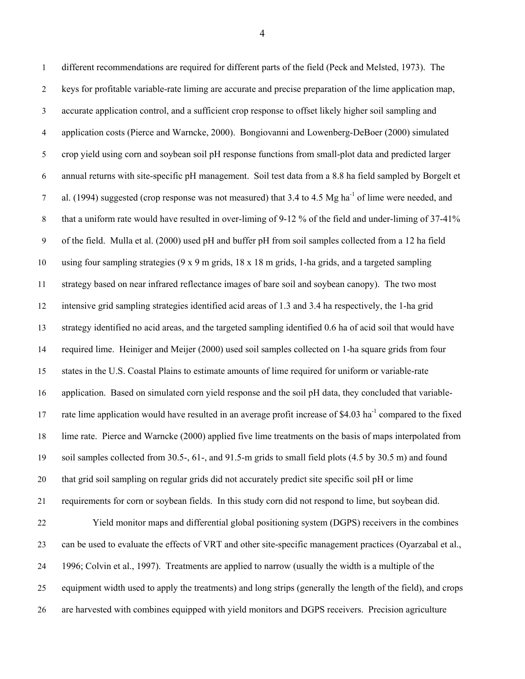1 different recommendations are required for different parts of the field (Peck and Melsted, 1973). The 2 keys for profitable variable-rate liming are accurate and precise preparation of the lime application map, 3 accurate application control, and a sufficient crop response to offset likely higher soil sampling and 4 application costs (Pierce and Warncke, 2000). Bongiovanni and Lowenberg-DeBoer (2000) simulated 5 crop yield using corn and soybean soil pH response functions from small-plot data and predicted larger 6 annual returns with site-specific pH management. Soil test data from a 8.8 ha field sampled by Borgelt et al. (1994) suggested (crop response was not measured) that 3.4 to 4.5 Mg ha<sup>-1</sup> of lime were needed, and 8 that a uniform rate would have resulted in over-liming of 9-12 % of the field and under-liming of 37-41% 9 of the field. Mulla et al. (2000) used pH and buffer pH from soil samples collected from a 12 ha field 10 using four sampling strategies (9 x 9 m grids, 18 x 18 m grids, 1-ha grids, and a targeted sampling 11 strategy based on near infrared reflectance images of bare soil and soybean canopy). The two most 12 intensive grid sampling strategies identified acid areas of 1.3 and 3.4 ha respectively, the 1-ha grid 13 strategy identified no acid areas, and the targeted sampling identified 0.6 ha of acid soil that would have 14 required lime. Heiniger and Meijer (2000) used soil samples collected on 1-ha square grids from four 15 states in the U.S. Coastal Plains to estimate amounts of lime required for uniform or variable-rate 16 application. Based on simulated corn yield response and the soil pH data, they concluded that variable-17 rate lime application would have resulted in an average profit increase of \$4.03 ha<sup>-1</sup> compared to the fixed 18 lime rate. Pierce and Warncke (2000) applied five lime treatments on the basis of maps interpolated from 19 soil samples collected from 30.5-, 61-, and 91.5-m grids to small field plots (4.5 by 30.5 m) and found 20 that grid soil sampling on regular grids did not accurately predict site specific soil pH or lime 21 requirements for corn or soybean fields. In this study corn did not respond to lime, but soybean did. 22 Yield monitor maps and differential global positioning system (DGPS) receivers in the combines 23 can be used to evaluate the effects of VRT and other site-specific management practices (Oyarzabal et al., 24 1996; Colvin et al., 1997). Treatments are applied to narrow (usually the width is a multiple of the 25 equipment width used to apply the treatments) and long strips (generally the length of the field), and crops 26 are harvested with combines equipped with yield monitors and DGPS receivers. Precision agriculture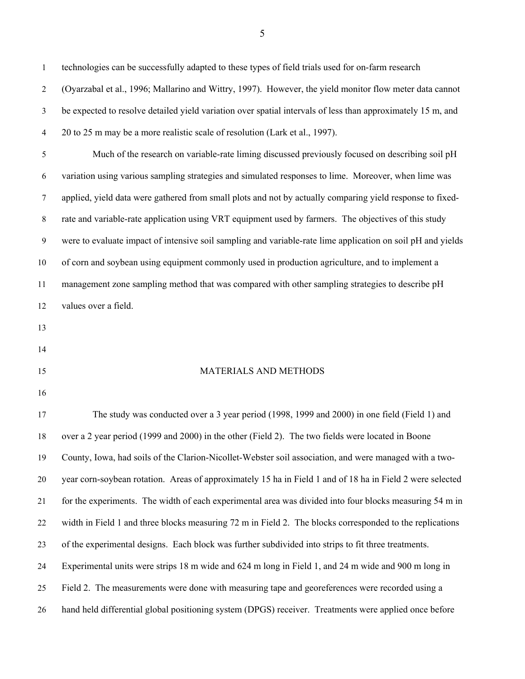1 technologies can be successfully adapted to these types of field trials used for on-farm research 2 (Oyarzabal et al., 1996; Mallarino and Wittry, 1997). However, the yield monitor flow meter data cannot 3 be expected to resolve detailed yield variation over spatial intervals of less than approximately 15 m, and 4 20 to 25 m may be a more realistic scale of resolution (Lark et al., 1997). 5 Much of the research on variable-rate liming discussed previously focused on describing soil pH 6 variation using various sampling strategies and simulated responses to lime. Moreover, when lime was 7 applied, yield data were gathered from small plots and not by actually comparing yield response to fixed-8 rate and variable-rate application using VRT equipment used by farmers. The objectives of this study 9 were to evaluate impact of intensive soil sampling and variable-rate lime application on soil pH and yields 10 of corn and soybean using equipment commonly used in production agriculture, and to implement a 11 management zone sampling method that was compared with other sampling strategies to describe pH 12 values over a field. 13 14 15 MATERIALS AND METHODS 16 17 The study was conducted over a 3 year period (1998, 1999 and 2000) in one field (Field 1) and 18 over a 2 year period (1999 and 2000) in the other (Field 2). The two fields were located in Boone 19 County, Iowa, had soils of the Clarion-Nicollet-Webster soil association, and were managed with a two-20 year corn-soybean rotation. Areas of approximately 15 ha in Field 1 and of 18 ha in Field 2 were selected 21 for the experiments. The width of each experimental area was divided into four blocks measuring 54 m in 22 width in Field 1 and three blocks measuring 72 m in Field 2. The blocks corresponded to the replications 23 of the experimental designs. Each block was further subdivided into strips to fit three treatments. 24 Experimental units were strips 18 m wide and 624 m long in Field 1, and 24 m wide and 900 m long in 25 Field 2. The measurements were done with measuring tape and georeferences were recorded using a 26 hand held differential global positioning system (DPGS) receiver. Treatments were applied once before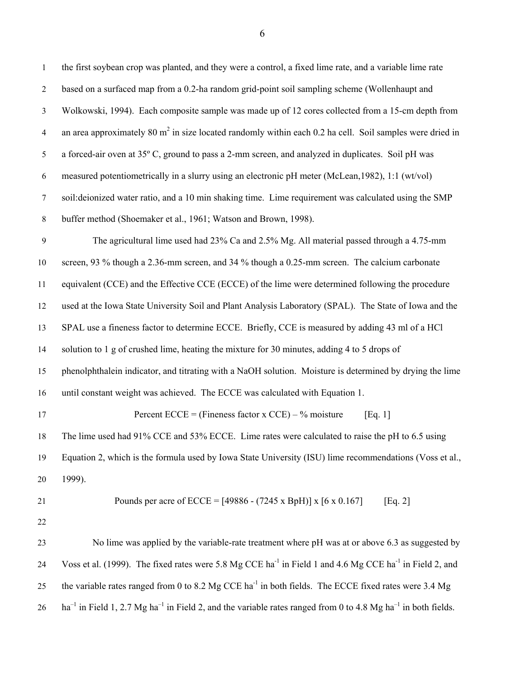| 1                | the first soybean crop was planted, and they were a control, a fixed lime rate, and a variable lime rate                        |
|------------------|---------------------------------------------------------------------------------------------------------------------------------|
| $\overline{2}$   | based on a surfaced map from a 0.2-ha random grid-point soil sampling scheme (Wollenhaupt and                                   |
| $\mathfrak{Z}$   | Wolkowski, 1994). Each composite sample was made up of 12 cores collected from a 15-cm depth from                               |
| $\overline{4}$   | an area approximately 80 $m2$ in size located randomly within each 0.2 ha cell. Soil samples were dried in                      |
| 5                | a forced-air oven at 35° C, ground to pass a 2-mm screen, and analyzed in duplicates. Soil pH was                               |
| 6                | measured potentiometrically in a slurry using an electronic pH meter (McLean, 1982), 1:1 (wt/vol)                               |
| $\boldsymbol{7}$ | soil: deionized water ratio, and a 10 min shaking time. Lime requirement was calculated using the SMP                           |
| $\,8\,$          | buffer method (Shoemaker et al., 1961; Watson and Brown, 1998).                                                                 |
| $\boldsymbol{9}$ | The agricultural lime used had 23% Ca and 2.5% Mg. All material passed through a 4.75-mm                                        |
| 10               | screen, 93 % though a 2.36-mm screen, and 34 % though a 0.25-mm screen. The calcium carbonate                                   |
| 11               | equivalent (CCE) and the Effective CCE (ECCE) of the lime were determined following the procedure                               |
| 12               | used at the Iowa State University Soil and Plant Analysis Laboratory (SPAL). The State of Iowa and the                          |
| 13               | SPAL use a fineness factor to determine ECCE. Briefly, CCE is measured by adding 43 ml of a HCl                                 |
| 14               | solution to 1 g of crushed lime, heating the mixture for 30 minutes, adding 4 to 5 drops of                                     |
| 15               | phenolphthalein indicator, and titrating with a NaOH solution. Moisture is determined by drying the lime                        |
| 16               | until constant weight was achieved. The ECCE was calculated with Equation 1.                                                    |
| 17               | Percent ECCE = (Fineness factor x CCE) – % moisture<br>[Eq. 1]                                                                  |
| 18               | The lime used had 91% CCE and 53% ECCE. Lime rates were calculated to raise the pH to 6.5 using                                 |
| 19               | Equation 2, which is the formula used by Iowa State University (ISU) lime recommendations (Voss et al.,                         |
| 20               | 1999).                                                                                                                          |
| 21               | Pounds per acre of ECCE = $[49886 - (7245 \times BpH)] \times [6 \times 0.167]$<br>[Eq. 2]                                      |
| 22               |                                                                                                                                 |
| 23               | No lime was applied by the variable-rate treatment where pH was at or above 6.3 as suggested by                                 |
| 24               | Voss et al. (1999). The fixed rates were 5.8 Mg CCE ha <sup>-1</sup> in Field 1 and 4.6 Mg CCE ha <sup>-1</sup> in Field 2, and |
| 25               | the variable rates ranged from 0 to 8.2 Mg CCE ha <sup>-1</sup> in both fields. The ECCE fixed rates were 3.4 Mg                |
| 26               | $ha^{-1}$ in Field 1, 2.7 Mg $ha^{-1}$ in Field 2, and the variable rates ranged from 0 to 4.8 Mg $ha^{-1}$ in both fields.     |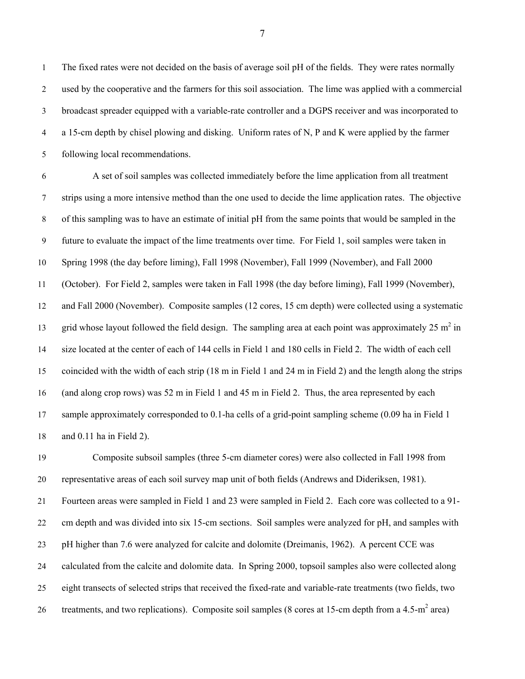1 The fixed rates were not decided on the basis of average soil pH of the fields. They were rates normally 2 used by the cooperative and the farmers for this soil association. The lime was applied with a commercial 3 broadcast spreader equipped with a variable-rate controller and a DGPS receiver and was incorporated to 4 a 15-cm depth by chisel plowing and disking. Uniform rates of N, P and K were applied by the farmer 5 following local recommendations.

6 A set of soil samples was collected immediately before the lime application from all treatment 7 strips using a more intensive method than the one used to decide the lime application rates. The objective 8 of this sampling was to have an estimate of initial pH from the same points that would be sampled in the 9 future to evaluate the impact of the lime treatments over time. For Field 1, soil samples were taken in 10 Spring 1998 (the day before liming), Fall 1998 (November), Fall 1999 (November), and Fall 2000 11 (October). For Field 2, samples were taken in Fall 1998 (the day before liming), Fall 1999 (November), 12 and Fall 2000 (November). Composite samples (12 cores, 15 cm depth) were collected using a systematic 13 grid whose layout followed the field design. The sampling area at each point was approximately  $25 \text{ m}^2$  in 14 size located at the center of each of 144 cells in Field 1 and 180 cells in Field 2. The width of each cell 15 coincided with the width of each strip (18 m in Field 1 and 24 m in Field 2) and the length along the strips 16 (and along crop rows) was 52 m in Field 1 and 45 m in Field 2. Thus, the area represented by each 17 sample approximately corresponded to 0.1-ha cells of a grid-point sampling scheme (0.09 ha in Field 1 18 and 0.11 ha in Field 2).

19 Composite subsoil samples (three 5-cm diameter cores) were also collected in Fall 1998 from 20 representative areas of each soil survey map unit of both fields (Andrews and Dideriksen, 1981). 21 Fourteen areas were sampled in Field 1 and 23 were sampled in Field 2. Each core was collected to a 91- 22 cm depth and was divided into six 15-cm sections. Soil samples were analyzed for pH, and samples with 23 pH higher than 7.6 were analyzed for calcite and dolomite (Dreimanis, 1962). A percent CCE was 24 calculated from the calcite and dolomite data. In Spring 2000, topsoil samples also were collected along 25 eight transects of selected strips that received the fixed-rate and variable-rate treatments (two fields, two 26 treatments, and two replications). Composite soil samples (8 cores at 15-cm depth from a 4.5-m<sup>2</sup> area)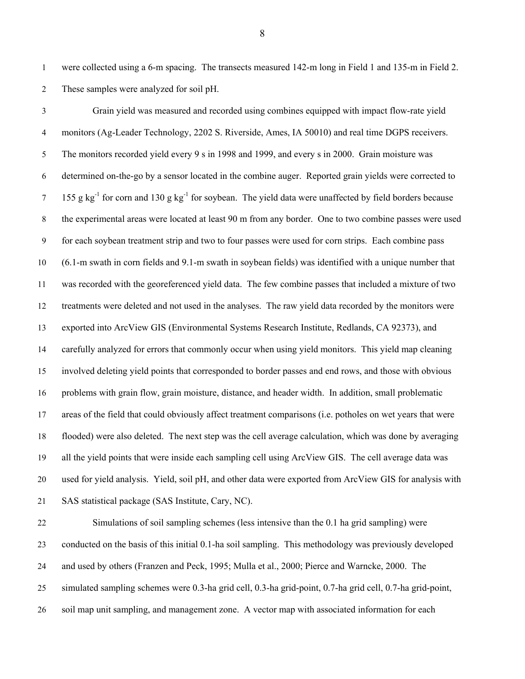1 were collected using a 6-m spacing. The transects measured 142-m long in Field 1 and 135-m in Field 2. 2 These samples were analyzed for soil pH.

3 Grain yield was measured and recorded using combines equipped with impact flow-rate yield 4 monitors (Ag-Leader Technology, 2202 S. Riverside, Ames, IA 50010) and real time DGPS receivers. 5 The monitors recorded yield every 9 s in 1998 and 1999, and every s in 2000. Grain moisture was 6 determined on-the-go by a sensor located in the combine auger. Reported grain yields were corrected to  $155$  g kg<sup>-1</sup> for corn and 130 g kg<sup>-1</sup> for soybean. The yield data were unaffected by field borders because 8 the experimental areas were located at least 90 m from any border. One to two combine passes were used 9 for each soybean treatment strip and two to four passes were used for corn strips. Each combine pass 10 (6.1-m swath in corn fields and 9.1-m swath in soybean fields) was identified with a unique number that 11 was recorded with the georeferenced yield data. The few combine passes that included a mixture of two 12 treatments were deleted and not used in the analyses. The raw yield data recorded by the monitors were 13 exported into ArcView GIS (Environmental Systems Research Institute, Redlands, CA 92373), and 14 carefully analyzed for errors that commonly occur when using yield monitors. This yield map cleaning 15 involved deleting yield points that corresponded to border passes and end rows, and those with obvious 16 problems with grain flow, grain moisture, distance, and header width. In addition, small problematic 17 areas of the field that could obviously affect treatment comparisons (i.e. potholes on wet years that were 18 flooded) were also deleted. The next step was the cell average calculation, which was done by averaging 19 all the yield points that were inside each sampling cell using ArcView GIS. The cell average data was 20 used for yield analysis. Yield, soil pH, and other data were exported from ArcView GIS for analysis with 21 SAS statistical package (SAS Institute, Cary, NC).

22 Simulations of soil sampling schemes (less intensive than the 0.1 ha grid sampling) were 23 conducted on the basis of this initial 0.1-ha soil sampling. This methodology was previously developed 24 and used by others (Franzen and Peck, 1995; Mulla et al., 2000; Pierce and Warncke, 2000. The 25 simulated sampling schemes were 0.3-ha grid cell, 0.3-ha grid-point, 0.7-ha grid cell, 0.7-ha grid-point, 26 soil map unit sampling, and management zone. A vector map with associated information for each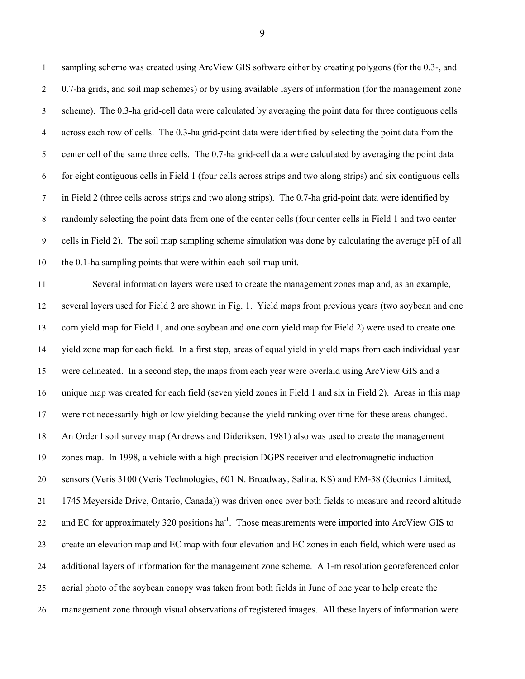1 sampling scheme was created using ArcView GIS software either by creating polygons (for the 0.3-, and 2 0.7-ha grids, and soil map schemes) or by using available layers of information (for the management zone 3 scheme). The 0.3-ha grid-cell data were calculated by averaging the point data for three contiguous cells 4 across each row of cells. The 0.3-ha grid-point data were identified by selecting the point data from the 5 center cell of the same three cells. The 0.7-ha grid-cell data were calculated by averaging the point data 6 for eight contiguous cells in Field 1 (four cells across strips and two along strips) and six contiguous cells 7 in Field 2 (three cells across strips and two along strips). The 0.7-ha grid-point data were identified by 8 randomly selecting the point data from one of the center cells (four center cells in Field 1 and two center 9 cells in Field 2). The soil map sampling scheme simulation was done by calculating the average pH of all 10 the 0.1-ha sampling points that were within each soil map unit.

11 Several information layers were used to create the management zones map and, as an example, 12 several layers used for Field 2 are shown in Fig. 1. Yield maps from previous years (two soybean and one 13 corn yield map for Field 1, and one soybean and one corn yield map for Field 2) were used to create one 14 yield zone map for each field. In a first step, areas of equal yield in yield maps from each individual year 15 were delineated. In a second step, the maps from each year were overlaid using ArcView GIS and a 16 unique map was created for each field (seven yield zones in Field 1 and six in Field 2). Areas in this map 17 were not necessarily high or low yielding because the yield ranking over time for these areas changed. 18 An Order I soil survey map (Andrews and Dideriksen, 1981) also was used to create the management 19 zones map. In 1998, a vehicle with a high precision DGPS receiver and electromagnetic induction 20 sensors (Veris 3100 (Veris Technologies, 601 N. Broadway, Salina, KS) and EM-38 (Geonics Limited, 21 1745 Meyerside Drive, Ontario, Canada)) was driven once over both fields to measure and record altitude 22 and EC for approximately 320 positions ha<sup>-1</sup>. Those measurements were imported into ArcView GIS to 23 create an elevation map and EC map with four elevation and EC zones in each field, which were used as 24 additional layers of information for the management zone scheme. A 1-m resolution georeferenced color 25 aerial photo of the soybean canopy was taken from both fields in June of one year to help create the 26 management zone through visual observations of registered images. All these layers of information were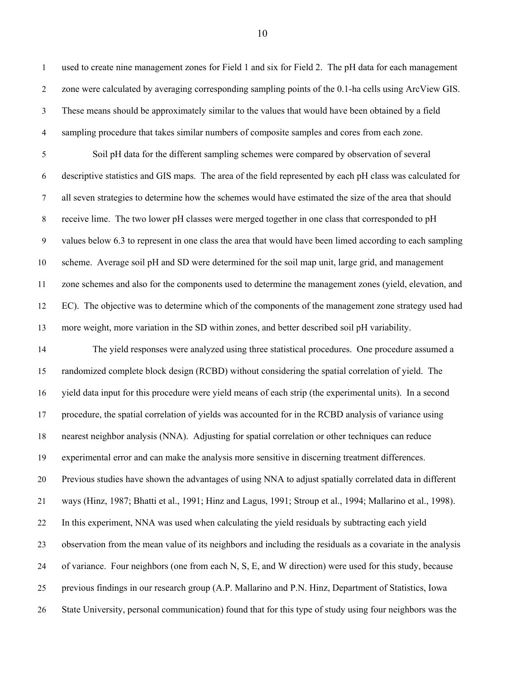1 used to create nine management zones for Field 1 and six for Field 2. The pH data for each management 2 zone were calculated by averaging corresponding sampling points of the 0.1-ha cells using ArcView GIS. 3 These means should be approximately similar to the values that would have been obtained by a field 4 sampling procedure that takes similar numbers of composite samples and cores from each zone.

5 Soil pH data for the different sampling schemes were compared by observation of several 6 descriptive statistics and GIS maps. The area of the field represented by each pH class was calculated for 7 all seven strategies to determine how the schemes would have estimated the size of the area that should 8 receive lime. The two lower pH classes were merged together in one class that corresponded to pH 9 values below 6.3 to represent in one class the area that would have been limed according to each sampling 10 scheme. Average soil pH and SD were determined for the soil map unit, large grid, and management 11 zone schemes and also for the components used to determine the management zones (yield, elevation, and 12 EC). The objective was to determine which of the components of the management zone strategy used had 13 more weight, more variation in the SD within zones, and better described soil pH variability.

14 The yield responses were analyzed using three statistical procedures. One procedure assumed a 15 randomized complete block design (RCBD) without considering the spatial correlation of yield. The 16 yield data input for this procedure were yield means of each strip (the experimental units). In a second 17 procedure, the spatial correlation of yields was accounted for in the RCBD analysis of variance using 18 nearest neighbor analysis (NNA). Adjusting for spatial correlation or other techniques can reduce 19 experimental error and can make the analysis more sensitive in discerning treatment differences. 20 Previous studies have shown the advantages of using NNA to adjust spatially correlated data in different 21 ways (Hinz, 1987; Bhatti et al., 1991; Hinz and Lagus, 1991; Stroup et al., 1994; Mallarino et al., 1998). 22 In this experiment, NNA was used when calculating the yield residuals by subtracting each yield 23 observation from the mean value of its neighbors and including the residuals as a covariate in the analysis 24 of variance. Four neighbors (one from each N, S, E, and W direction) were used for this study, because 25 previous findings in our research group (A.P. Mallarino and P.N. Hinz, Department of Statistics, Iowa 26 State University, personal communication) found that for this type of study using four neighbors was the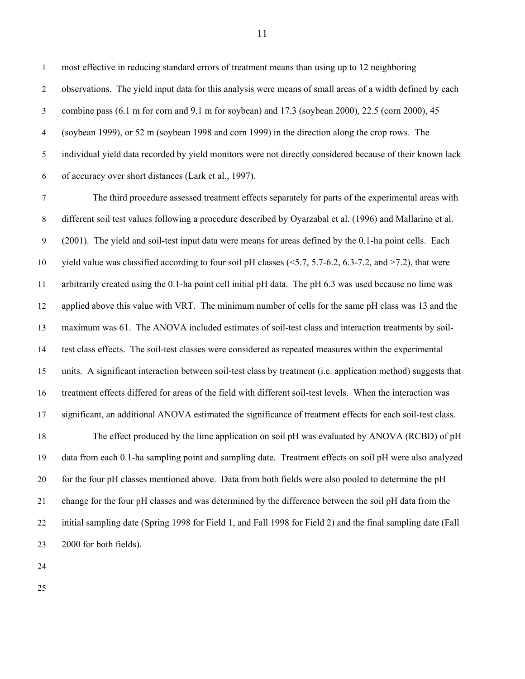1 most effective in reducing standard errors of treatment means than using up to 12 neighboring 2 observations. The yield input data for this analysis were means of small areas of a width defined by each 3 combine pass (6.1 m for corn and 9.1 m for soybean) and 17.3 (soybean 2000), 22.5 (corn 2000), 45 4 (soybean 1999), or 52 m (soybean 1998 and corn 1999) in the direction along the crop rows. The 5 individual yield data recorded by yield monitors were not directly considered because of their known lack 6 of accuracy over short distances (Lark et al., 1997).

7 The third procedure assessed treatment effects separately for parts of the experimental areas with 8 different soil test values following a procedure described by Oyarzabal et al. (1996) and Mallarino et al. 9 (2001). The yield and soil-test input data were means for areas defined by the 0.1-ha point cells. Each 10 yield value was classified according to four soil pH classes (<5.7, 5.7-6.2, 6.3-7.2, and >7.2), that were 11 arbitrarily created using the 0.1-ha point cell initial pH data. The pH 6.3 was used because no lime was 12 applied above this value with VRT. The minimum number of cells for the same pH class was 13 and the 13 maximum was 61. The ANOVA included estimates of soil-test class and interaction treatments by soil-14 test class effects. The soil-test classes were considered as repeated measures within the experimental 15 units. A significant interaction between soil-test class by treatment (i.e. application method) suggests that 16 treatment effects differed for areas of the field with different soil-test levels. When the interaction was 17 significant, an additional ANOVA estimated the significance of treatment effects for each soil-test class. 18 The effect produced by the lime application on soil pH was evaluated by ANOVA (RCBD) of pH 19 data from each 0.1-ha sampling point and sampling date. Treatment effects on soil pH were also analyzed 20 for the four pH classes mentioned above. Data from both fields were also pooled to determine the pH 21 change for the four pH classes and was determined by the difference between the soil pH data from the 22 initial sampling date (Spring 1998 for Field 1, and Fall 1998 for Field 2) and the final sampling date (Fall

24

23 2000 for both fields).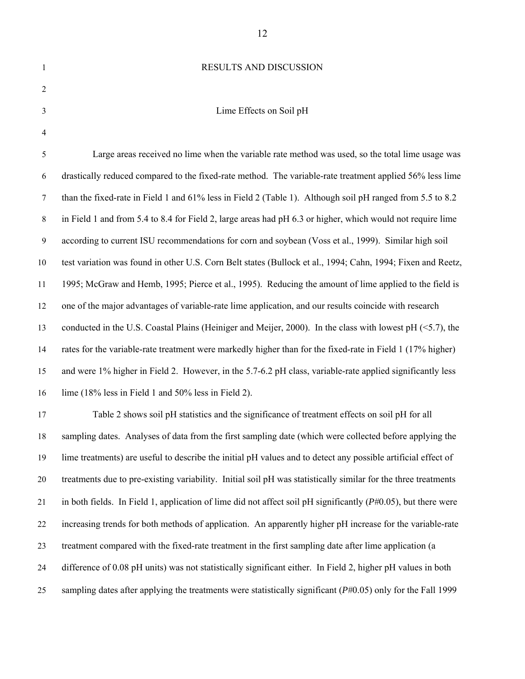## 1 RESULTS AND DISCUSSION

| v<br>I<br>I      |  |
|------------------|--|
| ı<br>I<br>v<br>v |  |

4

## 3 Lime Effects on Soil pH

5 Large areas received no lime when the variable rate method was used, so the total lime usage was 6 drastically reduced compared to the fixed-rate method. The variable-rate treatment applied 56% less lime 7 than the fixed-rate in Field 1 and 61% less in Field 2 (Table 1). Although soil pH ranged from 5.5 to 8.2 8 in Field 1 and from 5.4 to 8.4 for Field 2, large areas had pH 6.3 or higher, which would not require lime 9 according to current ISU recommendations for corn and soybean (Voss et al., 1999). Similar high soil 10 test variation was found in other U.S. Corn Belt states (Bullock et al., 1994; Cahn, 1994; Fixen and Reetz, 11 1995; McGraw and Hemb, 1995; Pierce et al., 1995). Reducing the amount of lime applied to the field is 12 one of the major advantages of variable-rate lime application, and our results coincide with research 13 conducted in the U.S. Coastal Plains (Heiniger and Meijer, 2000). In the class with lowest pH (<5.7), the 14 rates for the variable-rate treatment were markedly higher than for the fixed-rate in Field 1 (17% higher) 15 and were 1% higher in Field 2. However, in the 5.7-6.2 pH class, variable-rate applied significantly less 16 lime (18% less in Field 1 and 50% less in Field 2).

17 Table 2 shows soil pH statistics and the significance of treatment effects on soil pH for all 18 sampling dates. Analyses of data from the first sampling date (which were collected before applying the 19 lime treatments) are useful to describe the initial pH values and to detect any possible artificial effect of 20 treatments due to pre-existing variability. Initial soil pH was statistically similar for the three treatments 21 in both fields. In Field 1, application of lime did not affect soil pH significantly (*P*#0.05), but there were 22 increasing trends for both methods of application. An apparently higher pH increase for the variable-rate 23 treatment compared with the fixed-rate treatment in the first sampling date after lime application (a 24 difference of 0.08 pH units) was not statistically significant either. In Field 2, higher pH values in both 25 sampling dates after applying the treatments were statistically significant (*P*#0.05) only for the Fall 1999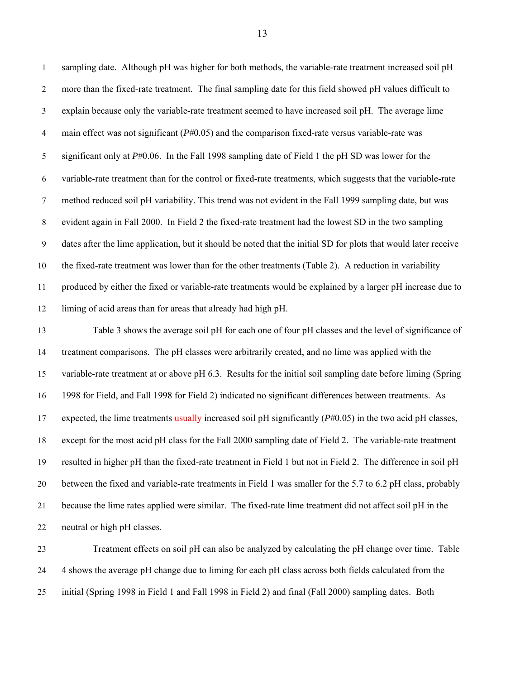1 sampling date. Although pH was higher for both methods, the variable-rate treatment increased soil pH 2 more than the fixed-rate treatment. The final sampling date for this field showed pH values difficult to 3 explain because only the variable-rate treatment seemed to have increased soil pH. The average lime 4 main effect was not significant ( $P#0.05$ ) and the comparison fixed-rate versus variable-rate was 5 significant only at *P*#0.06. In the Fall 1998 sampling date of Field 1 the pH SD was lower for the 6 variable-rate treatment than for the control or fixed-rate treatments, which suggests that the variable-rate 7 method reduced soil pH variability. This trend was not evident in the Fall 1999 sampling date, but was 8 evident again in Fall 2000. In Field 2 the fixed-rate treatment had the lowest SD in the two sampling 9 dates after the lime application, but it should be noted that the initial SD for plots that would later receive 10 the fixed-rate treatment was lower than for the other treatments (Table 2). A reduction in variability 11 produced by either the fixed or variable-rate treatments would be explained by a larger pH increase due to 12 liming of acid areas than for areas that already had high pH. 13 Table 3 shows the average soil pH for each one of four pH classes and the level of significance of 14 treatment comparisons. The pH classes were arbitrarily created, and no lime was applied with the 15 variable-rate treatment at or above pH 6.3. Results for the initial soil sampling date before liming (Spring 16 1998 for Field, and Fall 1998 for Field 2) indicated no significant differences between treatments. As 17 expected, the lime treatments usually increased soil pH significantly (*P*#0.05) in the two acid pH classes, 18 except for the most acid pH class for the Fall 2000 sampling date of Field 2. The variable-rate treatment 19 resulted in higher pH than the fixed-rate treatment in Field 1 but not in Field 2. The difference in soil pH 20 between the fixed and variable-rate treatments in Field 1 was smaller for the 5.7 to 6.2 pH class, probably 21 because the lime rates applied were similar. The fixed-rate lime treatment did not affect soil pH in the 22 neutral or high pH classes.

23 Treatment effects on soil pH can also be analyzed by calculating the pH change over time. Table 24 4 shows the average pH change due to liming for each pH class across both fields calculated from the 25 initial (Spring 1998 in Field 1 and Fall 1998 in Field 2) and final (Fall 2000) sampling dates. Both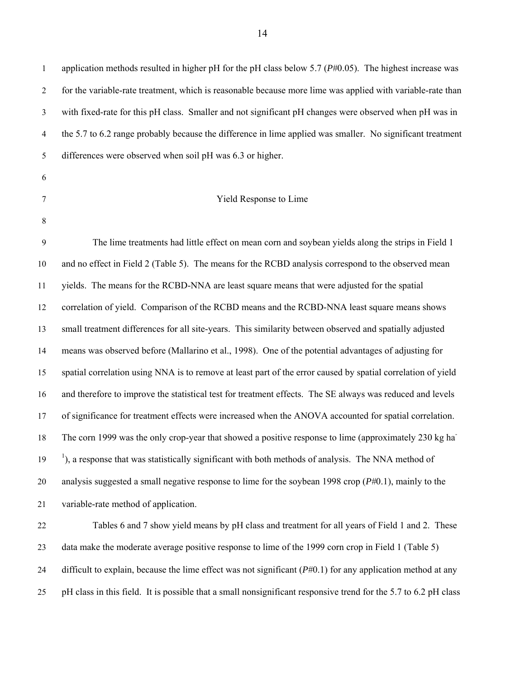14

1 application methods resulted in higher pH for the pH class below 5.7 (*P*#0.05). The highest increase was 2 for the variable-rate treatment, which is reasonable because more lime was applied with variable-rate than 3 with fixed-rate for this pH class. Smaller and not significant pH changes were observed when pH was in 4 the 5.7 to 6.2 range probably because the difference in lime applied was smaller. No significant treatment 5 differences were observed when soil pH was 6.3 or higher.

- 6
- 

8

## 7 Yield Response to Lime

9 The lime treatments had little effect on mean corn and soybean yields along the strips in Field 1 10 and no effect in Field 2 (Table 5). The means for the RCBD analysis correspond to the observed mean 11 yields. The means for the RCBD-NNA are least square means that were adjusted for the spatial 12 correlation of yield. Comparison of the RCBD means and the RCBD-NNA least square means shows 13 small treatment differences for all site-years. This similarity between observed and spatially adjusted 14 means was observed before (Mallarino et al., 1998). One of the potential advantages of adjusting for 15 spatial correlation using NNA is to remove at least part of the error caused by spatial correlation of yield 16 and therefore to improve the statistical test for treatment effects. The SE always was reduced and levels 17 of significance for treatment effects were increased when the ANOVA accounted for spatial correlation. 18 The corn 1999 was the only crop-year that showed a positive response to lime (approximately 230 kg ha<sup>-</sup>  $19$  <sup>1</sup>), a response that was statistically significant with both methods of analysis. The NNA method of 20 analysis suggested a small negative response to lime for the soybean 1998 crop (*P*#0.1), mainly to the 21 variable-rate method of application.

22 Tables 6 and 7 show yield means by pH class and treatment for all years of Field 1 and 2. These 23 data make the moderate average positive response to lime of the 1999 corn crop in Field 1 (Table 5) 24 difficult to explain, because the lime effect was not significant (*P*#0.1) for any application method at any 25 pH class in this field. It is possible that a small nonsignificant responsive trend for the 5.7 to 6.2 pH class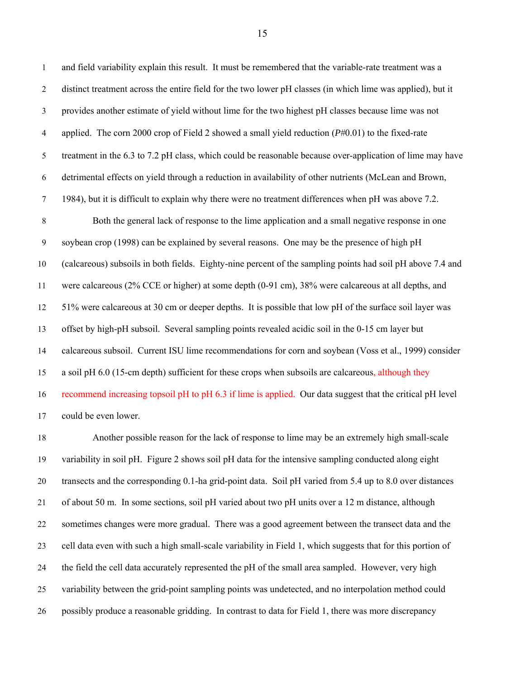1 and field variability explain this result. It must be remembered that the variable-rate treatment was a 2 distinct treatment across the entire field for the two lower pH classes (in which lime was applied), but it 3 provides another estimate of yield without lime for the two highest pH classes because lime was not 4 applied. The corn 2000 crop of Field 2 showed a small yield reduction (*P*#0.01) to the fixed-rate 5 treatment in the 6.3 to 7.2 pH class, which could be reasonable because over-application of lime may have 6 detrimental effects on yield through a reduction in availability of other nutrients (McLean and Brown, 7 1984), but it is difficult to explain why there were no treatment differences when pH was above 7.2. 8 Both the general lack of response to the lime application and a small negative response in one 9 soybean crop (1998) can be explained by several reasons. One may be the presence of high pH 10 (calcareous) subsoils in both fields. Eighty-nine percent of the sampling points had soil pH above 7.4 and 11 were calcareous (2% CCE or higher) at some depth (0-91 cm), 38% were calcareous at all depths, and 12 51% were calcareous at 30 cm or deeper depths. It is possible that low pH of the surface soil layer was 13 offset by high-pH subsoil. Several sampling points revealed acidic soil in the 0-15 cm layer but 14 calcareous subsoil. Current ISU lime recommendations for corn and soybean (Voss et al., 1999) consider 15 a soil pH 6.0 (15-cm depth) sufficient for these crops when subsoils are calcareous, although they 16 recommend increasing topsoil pH to pH 6.3 if lime is applied. Our data suggest that the critical pH level 17 could be even lower.

18 Another possible reason for the lack of response to lime may be an extremely high small-scale 19 variability in soil pH. Figure 2 shows soil pH data for the intensive sampling conducted along eight 20 transects and the corresponding 0.1-ha grid-point data. Soil pH varied from 5.4 up to 8.0 over distances 21 of about 50 m. In some sections, soil pH varied about two pH units over a 12 m distance, although 22 sometimes changes were more gradual. There was a good agreement between the transect data and the 23 cell data even with such a high small-scale variability in Field 1, which suggests that for this portion of 24 the field the cell data accurately represented the pH of the small area sampled. However, very high 25 variability between the grid-point sampling points was undetected, and no interpolation method could 26 possibly produce a reasonable gridding. In contrast to data for Field 1, there was more discrepancy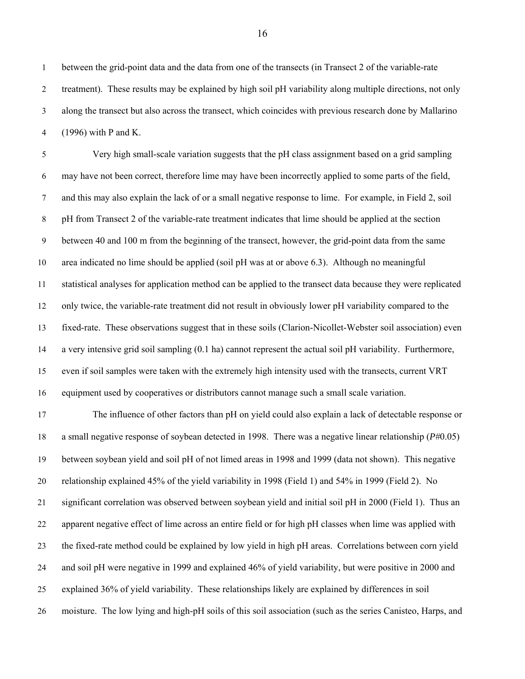1 between the grid-point data and the data from one of the transects (in Transect 2 of the variable-rate 2 treatment). These results may be explained by high soil pH variability along multiple directions, not only 3 along the transect but also across the transect, which coincides with previous research done by Mallarino 4 (1996) with P and K.

5 Very high small-scale variation suggests that the pH class assignment based on a grid sampling 6 may have not been correct, therefore lime may have been incorrectly applied to some parts of the field, 7 and this may also explain the lack of or a small negative response to lime. For example, in Field 2, soil 8 pH from Transect 2 of the variable-rate treatment indicates that lime should be applied at the section 9 between 40 and 100 m from the beginning of the transect, however, the grid-point data from the same 10 area indicated no lime should be applied (soil pH was at or above 6.3). Although no meaningful 11 statistical analyses for application method can be applied to the transect data because they were replicated 12 only twice, the variable-rate treatment did not result in obviously lower pH variability compared to the 13 fixed-rate. These observations suggest that in these soils (Clarion-Nicollet-Webster soil association) even 14 a very intensive grid soil sampling (0.1 ha) cannot represent the actual soil pH variability. Furthermore, 15 even if soil samples were taken with the extremely high intensity used with the transects, current VRT 16 equipment used by cooperatives or distributors cannot manage such a small scale variation.

17 The influence of other factors than pH on yield could also explain a lack of detectable response or 18 a small negative response of soybean detected in 1998. There was a negative linear relationship (*P*#0.05) 19 between soybean yield and soil pH of not limed areas in 1998 and 1999 (data not shown). This negative 20 relationship explained 45% of the yield variability in 1998 (Field 1) and 54% in 1999 (Field 2). No 21 significant correlation was observed between soybean yield and initial soil pH in 2000 (Field 1). Thus an 22 apparent negative effect of lime across an entire field or for high pH classes when lime was applied with 23 the fixed-rate method could be explained by low yield in high pH areas. Correlations between corn yield 24 and soil pH were negative in 1999 and explained 46% of yield variability, but were positive in 2000 and 25 explained 36% of yield variability. These relationships likely are explained by differences in soil 26 moisture. The low lying and high-pH soils of this soil association (such as the series Canisteo, Harps, and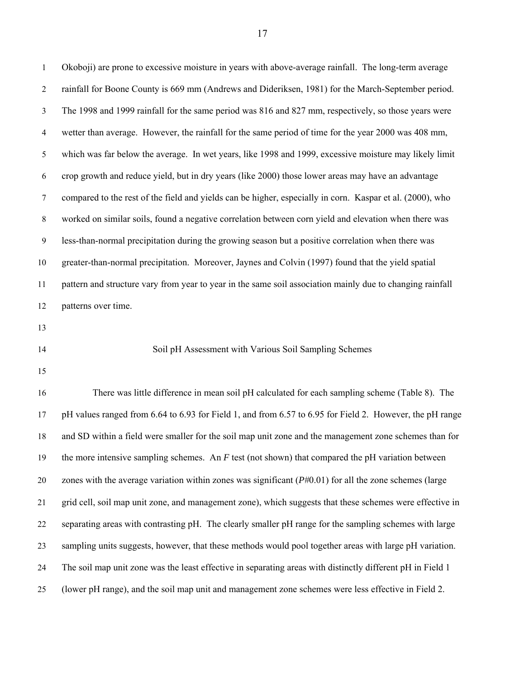1 Okoboji) are prone to excessive moisture in years with above-average rainfall. The long-term average 2 rainfall for Boone County is 669 mm (Andrews and Dideriksen, 1981) for the March-September period. 3 The 1998 and 1999 rainfall for the same period was 816 and 827 mm, respectively, so those years were 4 wetter than average. However, the rainfall for the same period of time for the year 2000 was 408 mm, 5 which was far below the average. In wet years, like 1998 and 1999, excessive moisture may likely limit 6 crop growth and reduce yield, but in dry years (like 2000) those lower areas may have an advantage 7 compared to the rest of the field and yields can be higher, especially in corn. Kaspar et al. (2000), who 8 worked on similar soils, found a negative correlation between corn yield and elevation when there was 9 less-than-normal precipitation during the growing season but a positive correlation when there was 10 greater-than-normal precipitation. Moreover, Jaynes and Colvin (1997) found that the yield spatial 11 pattern and structure vary from year to year in the same soil association mainly due to changing rainfall 12 patterns over time. 13 14 Soil pH Assessment with Various Soil Sampling Schemes 15 16 There was little difference in mean soil pH calculated for each sampling scheme (Table 8). The 17 pH values ranged from 6.64 to 6.93 for Field 1, and from 6.57 to 6.95 for Field 2. However, the pH range 18 and SD within a field were smaller for the soil map unit zone and the management zone schemes than for

19 the more intensive sampling schemes. An *F* test (not shown) that compared the pH variation between

20 zones with the average variation within zones was significant (*P*#0.01) for all the zone schemes (large 21 grid cell, soil map unit zone, and management zone), which suggests that these schemes were effective in 22 separating areas with contrasting pH. The clearly smaller pH range for the sampling schemes with large 23 sampling units suggests, however, that these methods would pool together areas with large pH variation. 24 The soil map unit zone was the least effective in separating areas with distinctly different pH in Field 1 25 (lower pH range), and the soil map unit and management zone schemes were less effective in Field 2.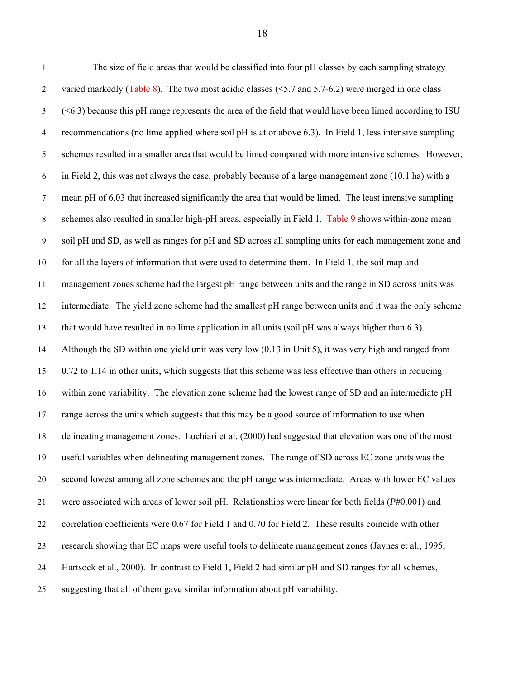| $\mathbf{1}$   | The size of field areas that would be classified into four pH classes by each sampling strategy                 |
|----------------|-----------------------------------------------------------------------------------------------------------------|
| $\overline{2}$ | varied markedly (Table 8). The two most acidic classes ( $5.7$ and $5.7$ -6.2) were merged in one class         |
| 3              | $(\leq 6.3)$ because this pH range represents the area of the field that would have been limed according to ISU |
| $\overline{4}$ | recommendations (no lime applied where soil pH is at or above 6.3). In Field 1, less intensive sampling         |
| 5              | schemes resulted in a smaller area that would be limed compared with more intensive schemes. However,           |
| 6              | in Field 2, this was not always the case, probably because of a large management zone (10.1 ha) with a          |
| $\tau$         | mean pH of 6.03 that increased significantly the area that would be limed. The least intensive sampling         |
| $8\,$          | schemes also resulted in smaller high-pH areas, especially in Field 1. Table 9 shows within-zone mean           |
| 9              | soil pH and SD, as well as ranges for pH and SD across all sampling units for each management zone and          |
| 10             | for all the layers of information that were used to determine them. In Field 1, the soil map and                |
| 11             | management zones scheme had the largest pH range between units and the range in SD across units was             |
| 12             | intermediate. The yield zone scheme had the smallest pH range between units and it was the only scheme          |
| 13             | that would have resulted in no lime application in all units (soil pH was always higher than 6.3).              |
| 14             | Although the SD within one yield unit was very low (0.13 in Unit 5), it was very high and ranged from           |
| 15             | 0.72 to 1.14 in other units, which suggests that this scheme was less effective than others in reducing         |
| 16             | within zone variability. The elevation zone scheme had the lowest range of SD and an intermediate pH            |
| 17             | range across the units which suggests that this may be a good source of information to use when                 |
| 18             | delineating management zones. Luchiari et al. (2000) had suggested that elevation was one of the most           |
| 19             | useful variables when delineating management zones. The range of SD across EC zone units was the                |
| 20             | second lowest among all zone schemes and the pH range was intermediate. Areas with lower EC values              |
| 21             | were associated with areas of lower soil pH. Relationships were linear for both fields $(P#0.001)$ and          |
| 22             | correlation coefficients were 0.67 for Field 1 and 0.70 for Field 2. These results coincide with other          |
| 23             | research showing that EC maps were useful tools to delineate management zones (Jaynes et al., 1995;             |
| 24             | Hartsock et al., 2000). In contrast to Field 1, Field 2 had similar pH and SD ranges for all schemes,           |
| 25             | suggesting that all of them gave similar information about pH variability.                                      |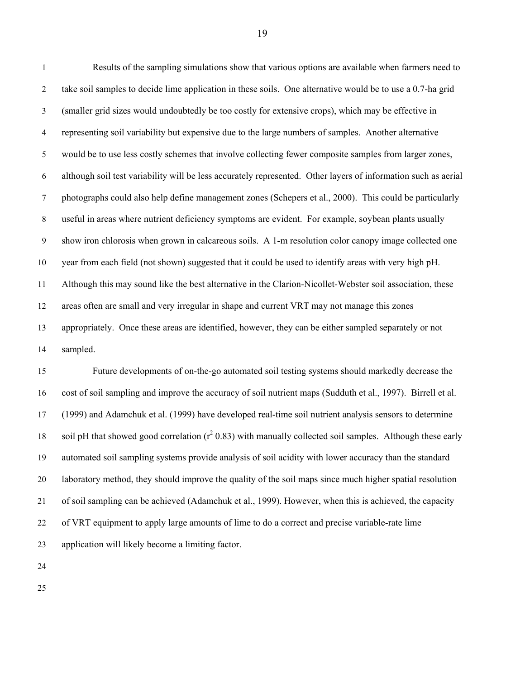1 Results of the sampling simulations show that various options are available when farmers need to 2 take soil samples to decide lime application in these soils. One alternative would be to use a 0.7-ha grid 3 (smaller grid sizes would undoubtedly be too costly for extensive crops), which may be effective in 4 representing soil variability but expensive due to the large numbers of samples. Another alternative 5 would be to use less costly schemes that involve collecting fewer composite samples from larger zones, 6 although soil test variability will be less accurately represented. Other layers of information such as aerial 7 photographs could also help define management zones (Schepers et al., 2000). This could be particularly 8 useful in areas where nutrient deficiency symptoms are evident. For example, soybean plants usually 9 show iron chlorosis when grown in calcareous soils. A 1-m resolution color canopy image collected one 10 year from each field (not shown) suggested that it could be used to identify areas with very high pH. 11 Although this may sound like the best alternative in the Clarion-Nicollet-Webster soil association, these 12 areas often are small and very irregular in shape and current VRT may not manage this zones 13 appropriately. Once these areas are identified, however, they can be either sampled separately or not 14 sampled.

15 Future developments of on-the-go automated soil testing systems should markedly decrease the 16 cost of soil sampling and improve the accuracy of soil nutrient maps (Sudduth et al., 1997). Birrell et al. 17 (1999) and Adamchuk et al. (1999) have developed real-time soil nutrient analysis sensors to determine 18 soil pH that showed good correlation  $(r^2 0.83)$  with manually collected soil samples. Although these early 19 automated soil sampling systems provide analysis of soil acidity with lower accuracy than the standard 20 laboratory method, they should improve the quality of the soil maps since much higher spatial resolution 21 of soil sampling can be achieved (Adamchuk et al., 1999). However, when this is achieved, the capacity 22 of VRT equipment to apply large amounts of lime to do a correct and precise variable-rate lime 23 application will likely become a limiting factor.

24

25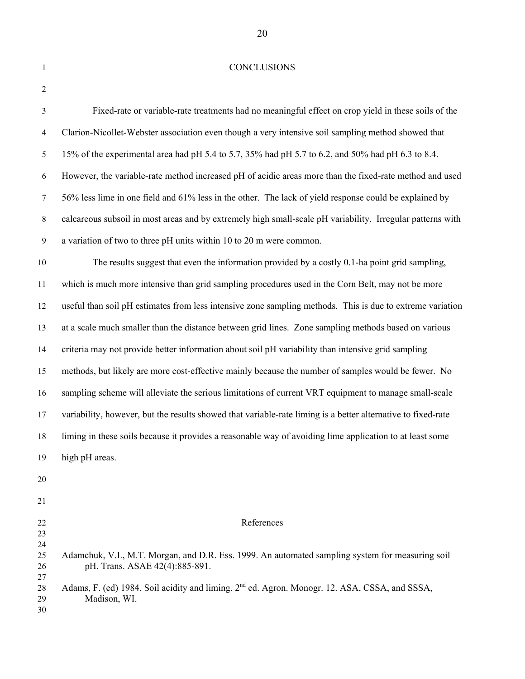## 1 CONCLUSIONS

| $\overline{2}$       |                                                                                                                                    |
|----------------------|------------------------------------------------------------------------------------------------------------------------------------|
| $\mathfrak{Z}$       | Fixed-rate or variable-rate treatments had no meaningful effect on crop yield in these soils of the                                |
| $\overline{4}$       | Clarion-Nicollet-Webster association even though a very intensive soil sampling method showed that                                 |
| 5                    | 15% of the experimental area had pH 5.4 to 5.7, 35% had pH 5.7 to 6.2, and 50% had pH 6.3 to 8.4.                                  |
| 6                    | However, the variable-rate method increased pH of acidic areas more than the fixed-rate method and used                            |
| $\tau$               | 56% less lime in one field and 61% less in the other. The lack of yield response could be explained by                             |
| $\,8$                | calcareous subsoil in most areas and by extremely high small-scale pH variability. Irregular patterns with                         |
| $\overline{9}$       | a variation of two to three pH units within 10 to 20 m were common.                                                                |
| 10                   | The results suggest that even the information provided by a costly 0.1-ha point grid sampling,                                     |
| 11                   | which is much more intensive than grid sampling procedures used in the Corn Belt, may not be more                                  |
| 12                   | useful than soil pH estimates from less intensive zone sampling methods. This is due to extreme variation                          |
| 13                   | at a scale much smaller than the distance between grid lines. Zone sampling methods based on various                               |
| 14                   | criteria may not provide better information about soil pH variability than intensive grid sampling                                 |
| 15                   | methods, but likely are more cost-effective mainly because the number of samples would be fewer. No                                |
| 16                   | sampling scheme will alleviate the serious limitations of current VRT equipment to manage small-scale                              |
| 17                   | variability, however, but the results showed that variable-rate liming is a better alternative to fixed-rate                       |
| 18                   | liming in these soils because it provides a reasonable way of avoiding lime application to at least some                           |
| 19                   | high pH areas.                                                                                                                     |
| 20                   |                                                                                                                                    |
| 21                   |                                                                                                                                    |
| 22<br>23             | References                                                                                                                         |
| 24<br>25<br>26<br>27 | Adamchuk, V.I., M.T. Morgan, and D.R. Ess. 1999. An automated sampling system for measuring soil<br>pH. Trans. ASAE 42(4):885-891. |
| 28<br>29<br>30       | Adams, F. (ed) 1984. Soil acidity and liming. 2 <sup>nd</sup> ed. Agron. Monogr. 12. ASA, CSSA, and SSSA,<br>Madison, WI.          |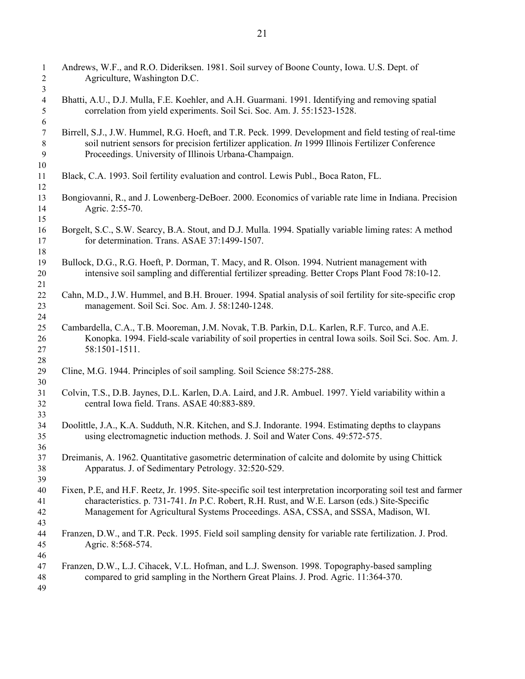| $\mathbf{1}$<br>$\overline{c}$           | Andrews, W.F., and R.O. Dideriksen. 1981. Soil survey of Boone County, Iowa. U.S. Dept. of<br>Agriculture, Washington D.C.                                                                                                                                                                             |
|------------------------------------------|--------------------------------------------------------------------------------------------------------------------------------------------------------------------------------------------------------------------------------------------------------------------------------------------------------|
| 3<br>$\overline{4}$<br>5                 | Bhatti, A.U., D.J. Mulla, F.E. Koehler, and A.H. Guarmani. 1991. Identifying and removing spatial<br>correlation from yield experiments. Soil Sci. Soc. Am. J. 55:1523-1528.                                                                                                                           |
| 6<br>$\boldsymbol{7}$                    | Birrell, S.J., J.W. Hummel, R.G. Hoeft, and T.R. Peck. 1999. Development and field testing of real-time<br>soil nutrient sensors for precision fertilizer application. In 1999 Illinois Fertilizer Conference                                                                                          |
| $8\phantom{1}$<br>$\boldsymbol{9}$<br>10 | Proceedings. University of Illinois Urbana-Champaign.                                                                                                                                                                                                                                                  |
| 11<br>12                                 | Black, C.A. 1993. Soil fertility evaluation and control. Lewis Publ., Boca Raton, FL.                                                                                                                                                                                                                  |
| 13<br>14<br>15                           | Bongiovanni, R., and J. Lowenberg-DeBoer. 2000. Economics of variable rate lime in Indiana. Precision<br>Agric. 2:55-70.                                                                                                                                                                               |
| 16<br>17<br>18                           | Borgelt, S.C., S.W. Searcy, B.A. Stout, and D.J. Mulla. 1994. Spatially variable liming rates: A method<br>for determination. Trans. ASAE 37:1499-1507.                                                                                                                                                |
| 19<br>20<br>21                           | Bullock, D.G., R.G. Hoeft, P. Dorman, T. Macy, and R. Olson. 1994. Nutrient management with<br>intensive soil sampling and differential fertilizer spreading. Better Crops Plant Food 78:10-12.                                                                                                        |
| 22<br>23<br>24                           | Cahn, M.D., J.W. Hummel, and B.H. Brouer. 1994. Spatial analysis of soil fertility for site-specific crop<br>management. Soil Sci. Soc. Am. J. 58:1240-1248.                                                                                                                                           |
| 25<br>26<br>27<br>28                     | Cambardella, C.A., T.B. Mooreman, J.M. Novak, T.B. Parkin, D.L. Karlen, R.F. Turco, and A.E.<br>Konopka. 1994. Field-scale variability of soil properties in central Iowa soils. Soil Sci. Soc. Am. J.<br>58:1501-1511.                                                                                |
| 29<br>30                                 | Cline, M.G. 1944. Principles of soil sampling. Soil Science 58:275-288.                                                                                                                                                                                                                                |
| 31<br>32<br>33                           | Colvin, T.S., D.B. Jaynes, D.L. Karlen, D.A. Laird, and J.R. Ambuel. 1997. Yield variability within a<br>central Iowa field. Trans. ASAE 40:883-889.                                                                                                                                                   |
| 34<br>35<br>36                           | Doolittle, J.A., K.A. Sudduth, N.R. Kitchen, and S.J. Indorante. 1994. Estimating depths to claypans<br>using electromagnetic induction methods. J. Soil and Water Cons. 49:572-575.                                                                                                                   |
| 37<br>38<br>39                           | Dreimanis, A. 1962. Quantitative gasometric determination of calcite and dolomite by using Chittick<br>Apparatus. J. of Sedimentary Petrology. 32:520-529.                                                                                                                                             |
| 40<br>41<br>42<br>43                     | Fixen, P.E., and H.F. Reetz, Jr. 1995. Site-specific soil test interpretation incorporating soil test and farmer<br>characteristics. p. 731-741. In P.C. Robert, R.H. Rust, and W.E. Larson (eds.) Site-Specific<br>Management for Agricultural Systems Proceedings. ASA, CSSA, and SSSA, Madison, WI. |
| 44<br>45<br>46                           | Franzen, D.W., and T.R. Peck. 1995. Field soil sampling density for variable rate fertilization. J. Prod.<br>Agric. 8:568-574.                                                                                                                                                                         |
| 47<br>48<br>49                           | Franzen, D.W., L.J. Cihacek, V.L. Hofman, and L.J. Swenson. 1998. Topography-based sampling<br>compared to grid sampling in the Northern Great Plains. J. Prod. Agric. 11:364-370.                                                                                                                     |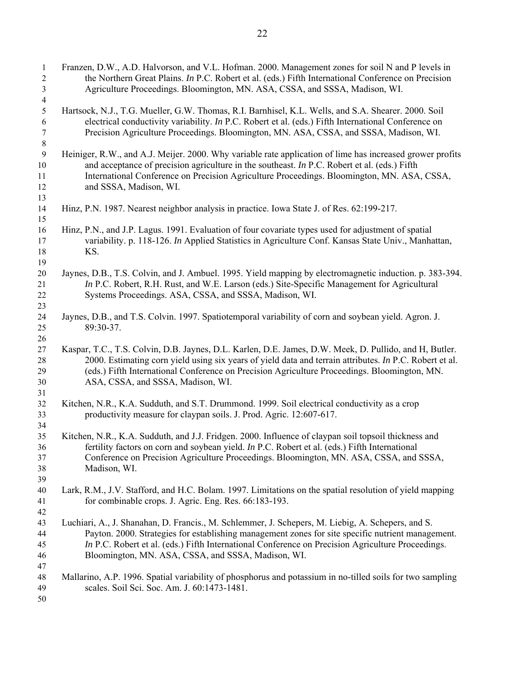| $\mathbf{1}$   | Franzen, D.W., A.D. Halvorson, and V.L. Hofman. 2000. Management zones for soil N and P levels in         |
|----------------|-----------------------------------------------------------------------------------------------------------|
| $\overline{2}$ | the Northern Great Plains. In P.C. Robert et al. (eds.) Fifth International Conference on Precision       |
| $\mathfrak{Z}$ | Agriculture Proceedings. Bloomington, MN. ASA, CSSA, and SSSA, Madison, WI.                               |
| $\overline{4}$ |                                                                                                           |
| $\sqrt{5}$     | Hartsock, N.J., T.G. Mueller, G.W. Thomas, R.I. Barnhisel, K.L. Wells, and S.A. Shearer. 2000. Soil       |
| 6              | electrical conductivity variability. In P.C. Robert et al. (eds.) Fifth International Conference on       |
| 7              | Precision Agriculture Proceedings. Bloomington, MN. ASA, CSSA, and SSSA, Madison, WI.                     |
| 8              |                                                                                                           |
| 9              | Heiniger, R.W., and A.J. Meijer. 2000. Why variable rate application of lime has increased grower profits |
| 10             | and acceptance of precision agriculture in the southeast. In P.C. Robert et al. (eds.) Fifth              |
| 11             | International Conference on Precision Agriculture Proceedings. Bloomington, MN. ASA, CSSA,                |
| 12             | and SSSA, Madison, WI.                                                                                    |
| 13             |                                                                                                           |
| 14             | Hinz, P.N. 1987. Nearest neighbor analysis in practice. Iowa State J. of Res. 62:199-217.                 |
| 15             |                                                                                                           |
| 16             | Hinz, P.N., and J.P. Lagus. 1991. Evaluation of four covariate types used for adjustment of spatial       |
| 17             | variability. p. 118-126. In Applied Statistics in Agriculture Conf. Kansas State Univ., Manhattan,        |
| 18             | KS.                                                                                                       |
| 19             | Jaynes, D.B., T.S. Colvin, and J. Ambuel. 1995. Yield mapping by electromagnetic induction. p. 383-394.   |
| 20<br>21       | In P.C. Robert, R.H. Rust, and W.E. Larson (eds.) Site-Specific Management for Agricultural               |
| 22             | Systems Proceedings. ASA, CSSA, and SSSA, Madison, WI.                                                    |
| 23             |                                                                                                           |
| 24             | Jaynes, D.B., and T.S. Colvin. 1997. Spatiotemporal variability of corn and soybean yield. Agron. J.      |
| 25             | 89:30-37.                                                                                                 |
| 26             |                                                                                                           |
| 27             | Kaspar, T.C., T.S. Colvin, D.B. Jaynes, D.L. Karlen, D.E. James, D.W. Meek, D. Pullido, and H, Butler.    |
| 28             | 2000. Estimating corn yield using six years of yield data and terrain attributes. In P.C. Robert et al.   |
| 29             | (eds.) Fifth International Conference on Precision Agriculture Proceedings. Bloomington, MN.              |
| 30             | ASA, CSSA, and SSSA, Madison, WI.                                                                         |
| 31             |                                                                                                           |
| 32             | Kitchen, N.R., K.A. Sudduth, and S.T. Drummond. 1999. Soil electrical conductivity as a crop              |
| 33             | productivity measure for claypan soils. J. Prod. Agric. 12:607-617.                                       |
| 34             |                                                                                                           |
| 35             | Kitchen, N.R., K.A. Sudduth, and J.J. Fridgen. 2000. Influence of claypan soil topsoil thickness and      |
| 36             | fertility factors on corn and soybean yield. In P.C. Robert et al. (eds.) Fifth International             |
| 37             | Conference on Precision Agriculture Proceedings. Bloomington, MN. ASA, CSSA, and SSSA,                    |
| 38             | Madison, WI.                                                                                              |
| 39             |                                                                                                           |
| 40             | Lark, R.M., J.V. Stafford, and H.C. Bolam. 1997. Limitations on the spatial resolution of yield mapping   |
| 41             | for combinable crops. J. Agric. Eng. Res. 66:183-193.                                                     |
| 42             |                                                                                                           |
| 43             | Luchiari, A., J. Shanahan, D. Francis., M. Schlemmer, J. Schepers, M. Liebig, A. Schepers, and S.         |
| 44             | Payton. 2000. Strategies for establishing management zones for site specific nutrient management.         |
| 45             | In P.C. Robert et al. (eds.) Fifth International Conference on Precision Agriculture Proceedings.         |
| 46             | Bloomington, MN. ASA, CSSA, and SSSA, Madison, WI.                                                        |
| 47             |                                                                                                           |
| 48             | Mallarino, A.P. 1996. Spatial variability of phosphorus and potassium in no-tilled soils for two sampling |
| 49             | scales. Soil Sci. Soc. Am. J. 60:1473-1481.                                                               |
| 50             |                                                                                                           |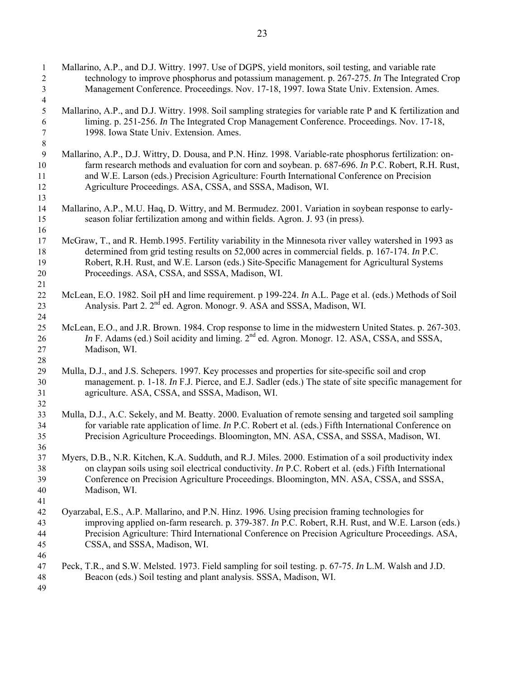| $\mathbf{1}$   | Mallarino, A.P., and D.J. Wittry. 1997. Use of DGPS, yield monitors, soil testing, and variable rate         |
|----------------|--------------------------------------------------------------------------------------------------------------|
| $\mathbf{2}$   | technology to improve phosphorus and potassium management. p. 267-275. In The Integrated Crop                |
| $\overline{3}$ | Management Conference. Proceedings. Nov. 17-18, 1997. Iowa State Univ. Extension. Ames.                      |
| $\overline{4}$ |                                                                                                              |
| 5              | Mallarino, A.P., and D.J. Wittry. 1998. Soil sampling strategies for variable rate P and K fertilization and |
| 6              | liming. p. 251-256. In The Integrated Crop Management Conference. Proceedings. Nov. 17-18,                   |
| 7              | 1998. Iowa State Univ. Extension. Ames.                                                                      |
| $8\,$          |                                                                                                              |
| $\mathbf{9}$   | Mallarino, A.P., D.J. Wittry, D. Dousa, and P.N. Hinz. 1998. Variable-rate phosphorus fertilization: on-     |
| 10             | farm research methods and evaluation for corn and soybean. p. 687-696. In P.C. Robert, R.H. Rust,            |
| 11             | and W.E. Larson (eds.) Precision Agriculture: Fourth International Conference on Precision                   |
| 12             | Agriculture Proceedings. ASA, CSSA, and SSSA, Madison, WI.                                                   |
| 13             |                                                                                                              |
| 14             | Mallarino, A.P., M.U. Haq, D. Wittry, and M. Bermudez. 2001. Variation in soybean response to early-         |
| 15             | season foliar fertilization among and within fields. Agron. J. 93 (in press).                                |
| 16             |                                                                                                              |
| 17             | McGraw, T., and R. Hemb.1995. Fertility variability in the Minnesota river valley watershed in 1993 as       |
| 18             | determined from grid testing results on 52,000 acres in commercial fields. p. 167-174. In P.C.               |
| 19             | Robert, R.H. Rust, and W.E. Larson (eds.) Site-Specific Management for Agricultural Systems                  |
| 20             | Proceedings. ASA, CSSA, and SSSA, Madison, WI.                                                               |
| 21             |                                                                                                              |
| $22\,$         | McLean, E.O. 1982. Soil pH and lime requirement. p 199-224. In A.L. Page et al. (eds.) Methods of Soil       |
| 23             | Analysis. Part 2. 2 <sup>nd</sup> ed. Agron. Monogr. 9. ASA and SSSA, Madison, WI.                           |
| 24             |                                                                                                              |
| 25             | McLean, E.O., and J.R. Brown. 1984. Crop response to lime in the midwestern United States. p. 267-303.       |
| 26             | In F. Adams (ed.) Soil acidity and liming. 2 <sup>nd</sup> ed. Agron. Monogr. 12. ASA, CSSA, and SSSA,       |
| 27             | Madison, WI.                                                                                                 |
| 28             |                                                                                                              |
| 29             | Mulla, D.J., and J.S. Schepers. 1997. Key processes and properties for site-specific soil and crop           |
| 30             | management. p. 1-18. In F.J. Pierce, and E.J. Sadler (eds.) The state of site specific management for        |
| 31             | agriculture. ASA, CSSA, and SSSA, Madison, WI.                                                               |
| 32             |                                                                                                              |
| 33             | Mulla, D.J., A.C. Sekely, and M. Beatty. 2000. Evaluation of remote sensing and targeted soil sampling       |
| 34             | for variable rate application of lime. In P.C. Robert et al. (eds.) Fifth International Conference on        |
| 35             | Precision Agriculture Proceedings. Bloomington, MN. ASA, CSSA, and SSSA, Madison, WI.                        |
| 36             |                                                                                                              |
| 37             | Myers, D.B., N.R. Kitchen, K.A. Sudduth, and R.J. Miles. 2000. Estimation of a soil productivity index       |
| 38             | on claypan soils using soil electrical conductivity. In P.C. Robert et al. (eds.) Fifth International        |
| 39             | Conference on Precision Agriculture Proceedings. Bloomington, MN. ASA, CSSA, and SSSA,                       |
| 40             | Madison, WI.                                                                                                 |
| 41             |                                                                                                              |
| 42             | Oyarzabal, E.S., A.P. Mallarino, and P.N. Hinz. 1996. Using precision framing technologies for               |
| 43             | improving applied on-farm research. p. 379-387. In P.C. Robert, R.H. Rust, and W.E. Larson (eds.)            |
| 44             | Precision Agriculture: Third International Conference on Precision Agriculture Proceedings. ASA,             |
| 45             | CSSA, and SSSA, Madison, WI.                                                                                 |
| 46             |                                                                                                              |
| 47             | Peck, T.R., and S.W. Melsted. 1973. Field sampling for soil testing. p. 67-75. In L.M. Walsh and J.D.        |
| 48             | Beacon (eds.) Soil testing and plant analysis. SSSA, Madison, WI.                                            |
| 49             |                                                                                                              |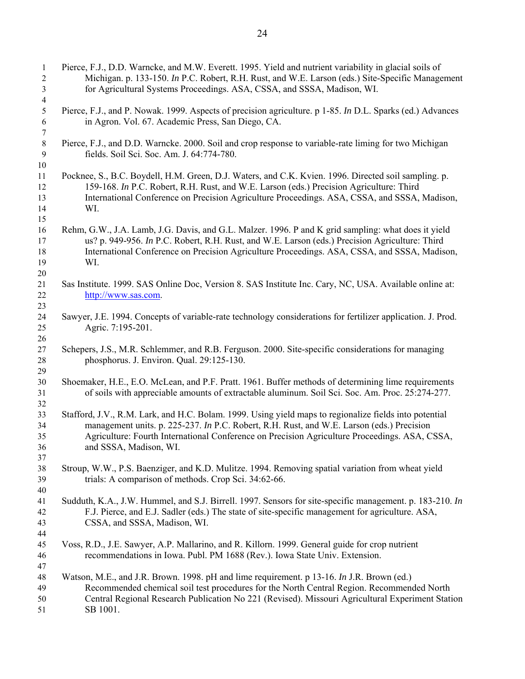| $\mathbf{1}$<br>$\overline{2}$<br>3 | Pierce, F.J., D.D. Warncke, and M.W. Everett. 1995. Yield and nutrient variability in glacial soils of<br>Michigan. p. 133-150. In P.C. Robert, R.H. Rust, and W.E. Larson (eds.) Site-Specific Management<br>for Agricultural Systems Proceedings. ASA, CSSA, and SSSA, Madison, WI.                                          |
|-------------------------------------|--------------------------------------------------------------------------------------------------------------------------------------------------------------------------------------------------------------------------------------------------------------------------------------------------------------------------------|
| 4<br>5<br>6                         | Pierce, F.J., and P. Nowak. 1999. Aspects of precision agriculture. p 1-85. In D.L. Sparks (ed.) Advances<br>in Agron. Vol. 67. Academic Press, San Diego, CA.                                                                                                                                                                 |
| 7<br>$\,8\,$<br>$\boldsymbol{9}$    | Pierce, F.J., and D.D. Warncke. 2000. Soil and crop response to variable-rate liming for two Michigan<br>fields. Soil Sci. Soc. Am. J. 64:774-780.                                                                                                                                                                             |
| 10<br>11<br>12<br>13<br>14<br>15    | Pocknee, S., B.C. Boydell, H.M. Green, D.J. Waters, and C.K. Kvien. 1996. Directed soil sampling. p.<br>159-168. In P.C. Robert, R.H. Rust, and W.E. Larson (eds.) Precision Agriculture: Third<br>International Conference on Precision Agriculture Proceedings. ASA, CSSA, and SSSA, Madison,<br>WI.                         |
| 16<br>17<br>18<br>19<br>20          | Rehm, G.W., J.A. Lamb, J.G. Davis, and G.L. Malzer. 1996. P and K grid sampling: what does it yield<br>us? p. 949-956. In P.C. Robert, R.H. Rust, and W.E. Larson (eds.) Precision Agriculture: Third<br>International Conference on Precision Agriculture Proceedings. ASA, CSSA, and SSSA, Madison,<br>WI.                   |
| 21<br>22<br>23                      | Sas Institute. 1999. SAS Online Doc, Version 8. SAS Institute Inc. Cary, NC, USA. Available online at:<br>http://www.sas.com.                                                                                                                                                                                                  |
| 24<br>25<br>26                      | Sawyer, J.E. 1994. Concepts of variable-rate technology considerations for fertilizer application. J. Prod.<br>Agric. 7:195-201.                                                                                                                                                                                               |
| 27<br>28<br>29                      | Schepers, J.S., M.R. Schlemmer, and R.B. Ferguson. 2000. Site-specific considerations for managing<br>phosphorus. J. Environ. Qual. 29:125-130.                                                                                                                                                                                |
| 30<br>31<br>32                      | Shoemaker, H.E., E.O. McLean, and P.F. Pratt. 1961. Buffer methods of determining lime requirements<br>of soils with appreciable amounts of extractable aluminum. Soil Sci. Soc. Am. Proc. 25:274-277.                                                                                                                         |
| 33<br>34<br>35<br>36<br>37          | Stafford, J.V., R.M. Lark, and H.C. Bolam. 1999. Using yield maps to regionalize fields into potential<br>management units. p. 225-237. In P.C. Robert, R.H. Rust, and W.E. Larson (eds.) Precision<br>Agriculture: Fourth International Conference on Precision Agriculture Proceedings. ASA, CSSA,<br>and SSSA, Madison, WI. |
| 38<br>39<br>40                      | Stroup, W.W., P.S. Baenziger, and K.D. Mulitze. 1994. Removing spatial variation from wheat yield<br>trials: A comparison of methods. Crop Sci. 34:62-66.                                                                                                                                                                      |
| 41<br>42<br>43<br>44                | Sudduth, K.A., J.W. Hummel, and S.J. Birrell. 1997. Sensors for site-specific management. p. 183-210. In<br>F.J. Pierce, and E.J. Sadler (eds.) The state of site-specific management for agriculture. ASA,<br>CSSA, and SSSA, Madison, WI.                                                                                    |
| 45<br>46<br>47                      | Voss, R.D., J.E. Sawyer, A.P. Mallarino, and R. Killorn. 1999. General guide for crop nutrient<br>recommendations in Iowa. Publ. PM 1688 (Rev.). Iowa State Univ. Extension.                                                                                                                                                   |
| 48<br>49<br>50<br>51                | Watson, M.E., and J.R. Brown. 1998. pH and lime requirement. p 13-16. In J.R. Brown (ed.)<br>Recommended chemical soil test procedures for the North Central Region. Recommended North<br>Central Regional Research Publication No 221 (Revised). Missouri Agricultural Experiment Station<br>SB 1001.                         |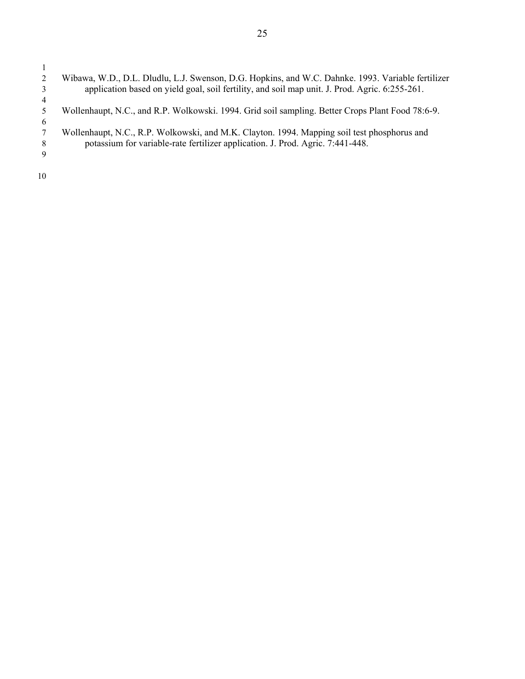$\frac{1}{2}$ 2 Wibawa, W.D., D.L. Dludlu, L.J. Swenson, D.G. Hopkins, and W.C. Dahnke. 1993. Variable fertilizer 3 application based on yield goal, soil fertility, and soil map unit. J. Prod. Agric. 6:255-261.  $\begin{array}{c} 4 \\ 5 \end{array}$ 5 Wollenhaupt, N.C., and R.P. Wolkowski. 1994. Grid soil sampling. Better Crops Plant Food 78:6-9.  $\frac{6}{7}$ 7 Wollenhaupt, N.C., R.P. Wolkowski, and M.K. Clayton. 1994. Mapping soil test phosphorus and potassium for variable-rate fertilizer application. J. Prod. Agric. 7:441-448. potassium for variable-rate fertilizer application. J. Prod. Agric. 7:441-448. 9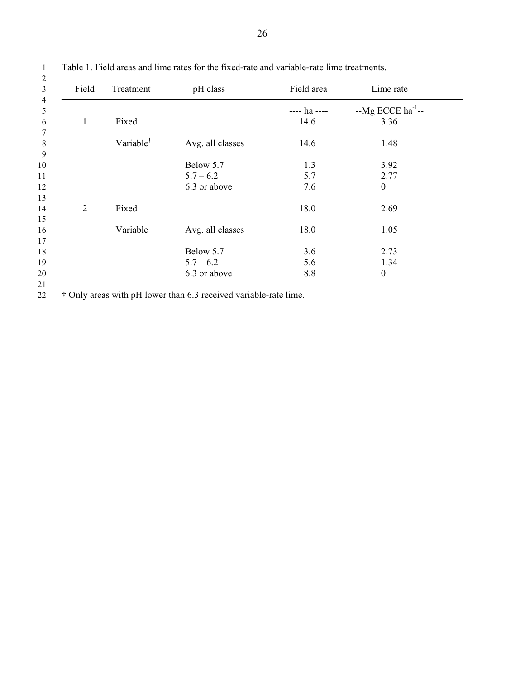| Field<br>Treatment<br>Fixed<br>$\mathbf{1}$<br>Variable <sup>†</sup> |          | pH class         | Field area   | Lime rate                |  |
|----------------------------------------------------------------------|----------|------------------|--------------|--------------------------|--|
|                                                                      |          |                  | ---- ha ---- | $-Mg$ ECCE ha $^{-1}$ -- |  |
|                                                                      |          |                  | 14.6         | 3.36                     |  |
|                                                                      |          | Avg. all classes | 14.6         | 1.48                     |  |
|                                                                      |          | Below 5.7        | 1.3          | 3.92                     |  |
|                                                                      |          | $5.7 - 6.2$      | 5.7          | 2.77                     |  |
|                                                                      |          | 6.3 or above     | 7.6          | $\boldsymbol{0}$         |  |
| $\overline{2}$                                                       | Fixed    |                  | 18.0         | 2.69                     |  |
|                                                                      | Variable | Avg. all classes | 18.0         | 1.05                     |  |
|                                                                      |          | Below 5.7        | 3.6          | 2.73                     |  |
|                                                                      |          | $5.7 - 6.2$      | 5.6          | 1.34                     |  |
|                                                                      |          | 6.3 or above     | 8.8          | $\boldsymbol{0}$         |  |

1 Table 1. Field areas and lime rates for the fixed-rate and variable-rate lime treatments.

22 † Only areas with pH lower than 6.3 received variable-rate lime.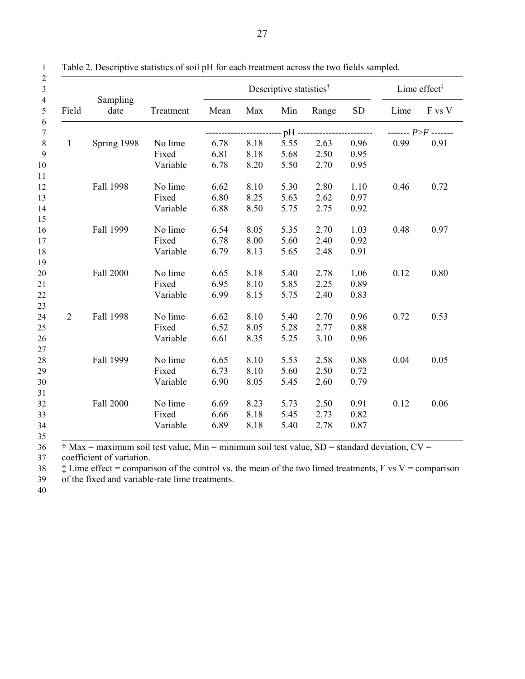|              |                  |           |      | Descriptive statistics <sup>†</sup> | Lime effect $\ddagger$ |       |           |      |                       |
|--------------|------------------|-----------|------|-------------------------------------|------------------------|-------|-----------|------|-----------------------|
| Field        | Sampling<br>date | Treatment | Mean | Max                                 | Min                    | Range | <b>SD</b> | Lime | F vs V                |
|              |                  |           |      |                                     | $pH -$                 |       |           |      | ------- $P>F$ ------- |
| $\mathbf{1}$ | Spring 1998      | No lime   | 6.78 | 8.18                                | 5.55                   | 2.63  | 0.96      | 0.99 | 0.91                  |
|              |                  | Fixed     | 6.81 | 8.18                                | 5.68                   | 2.50  | 0.95      |      |                       |
|              |                  | Variable  | 6.78 | 8.20                                | 5.50                   | 2.70  | 0.95      |      |                       |
|              | Fall 1998        | No lime   | 6.62 | 8.10                                | 5.30                   | 2.80  | 1.10      | 0.46 | 0.72                  |
|              |                  | Fixed     | 6.80 | 8.25                                | 5.63                   | 2.62  | 0.97      |      |                       |
|              |                  | Variable  | 6.88 | 8.50                                | 5.75                   | 2.75  | 0.92      |      |                       |
|              | Fall 1999        | No lime   | 6.54 | 8.05                                | 5.35                   | 2.70  | 1.03      | 0.48 | 0.97                  |
|              |                  | Fixed     | 6.78 | 8.00                                | 5.60                   | 2.40  | 0.92      |      |                       |
|              |                  | Variable  | 6.79 | 8.13                                | 5.65                   | 2.48  | 0.91      |      |                       |
|              | Fall 2000        | No lime   | 6.65 | 8.18                                | 5.40                   | 2.78  | 1.06      | 0.12 | 0.80                  |
|              |                  | Fixed     | 6.95 | 8.10                                | 5.85                   | 2.25  | 0.89      |      |                       |
|              |                  | Variable  | 6.99 | 8.15                                | 5.75                   | 2.40  | 0.83      |      |                       |
| 2            | Fall 1998        | No lime   | 6.62 | 8.10                                | 5.40                   | 2.70  | 0.96      | 0.72 | 0.53                  |
|              |                  | Fixed     | 6.52 | 8.05                                | 5.28                   | 2.77  | 0.88      |      |                       |
|              |                  | Variable  | 6.61 | 8.35                                | 5.25                   | 3.10  | 0.96      |      |                       |
|              |                  |           |      |                                     |                        |       |           |      |                       |
|              | Fall 1999        | No lime   | 6.65 | 8.10                                | 5.53                   | 2.58  | 0.88      | 0.04 | 0.05                  |
|              |                  | Fixed     | 6.73 | 8.10                                | 5.60                   | 2.50  | 0.72      |      |                       |
|              |                  | Variable  | 6.90 | 8.05                                | 5.45                   | 2.60  | 0.79      |      |                       |
|              | <b>Fall 2000</b> | No lime   | 6.69 | 8.23                                | 5.73                   | 2.50  | 0.91      | 0.12 | 0.06                  |
|              |                  | Fixed     | 6.66 | 8.18                                | 5.45                   | 2.73  | 0.82      |      |                       |
|              |                  | Variable  | 6.89 | 8.18                                | 5.40                   | 2.78  | 0.87      |      |                       |
|              |                  |           |      |                                     |                        |       |           |      |                       |

1 Table 2. Descriptive statistics of soil pH for each treatment across the two fields sampled.

 $\frac{1}{36}$   $\frac{1}{36}$  Max = maximum soil test value, Min = minimum soil test value, SD = standard deviation, CV =

37 coefficient of variation.

38  $\ddagger$  Lime effect = comparison of the control vs. the mean of the two limed treatments, F vs V = comparison

39 of the fixed and variable-rate lime treatments.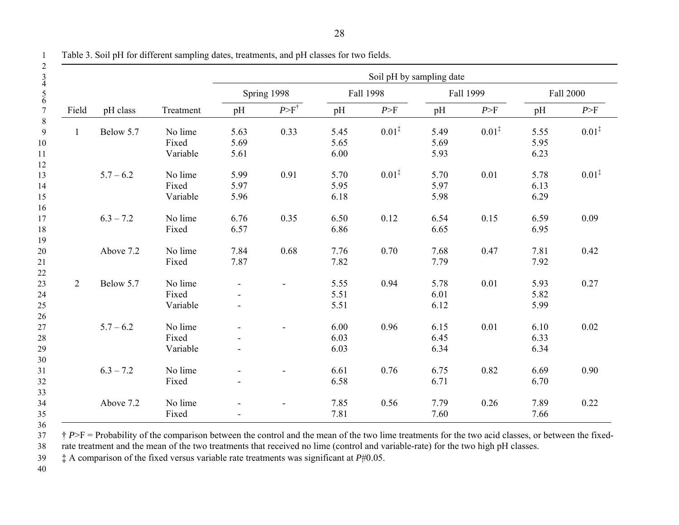|                |             |           |                          | Soil pH by sampling date |      |                   |      |                   |      |                   |  |
|----------------|-------------|-----------|--------------------------|--------------------------|------|-------------------|------|-------------------|------|-------------------|--|
|                |             |           | Spring 1998<br>Fall 1998 |                          |      | Fall 1999         |      | Fall 2000         |      |                   |  |
| Field          | pH class    | Treatment | pH                       | $P > F^{\dagger}$        | pH   | P>F               | pH   | P>F               | pH   | P>F               |  |
| $\mathbf{1}$   | Below 5.7   | No lime   | 5.63                     | 0.33                     | 5.45 | $0.01^{\ddagger}$ | 5.49 | $0.01^{\ddagger}$ | 5.55 | $0.01^{\ddagger}$ |  |
|                |             | Fixed     | 5.69                     |                          | 5.65 |                   | 5.69 |                   | 5.95 |                   |  |
|                |             | Variable  | 5.61                     |                          | 6.00 |                   | 5.93 |                   | 6.23 |                   |  |
|                | $5.7 - 6.2$ | No lime   | 5.99                     | 0.91                     | 5.70 | $0.01^{\ddagger}$ | 5.70 | 0.01              | 5.78 | $0.01^{\ddagger}$ |  |
|                |             | Fixed     | 5.97                     |                          | 5.95 |                   | 5.97 |                   | 6.13 |                   |  |
|                |             | Variable  | 5.96                     |                          | 6.18 |                   | 5.98 |                   | 6.29 |                   |  |
|                | $6.3 - 7.2$ | No lime   | 6.76                     | 0.35                     | 6.50 | 0.12              | 6.54 | 0.15              | 6.59 | 0.09              |  |
|                |             | Fixed     | 6.57                     |                          | 6.86 |                   | 6.65 |                   | 6.95 |                   |  |
|                |             |           |                          |                          |      |                   |      |                   |      |                   |  |
|                | Above 7.2   | No lime   | 7.84                     | 0.68                     | 7.76 | 0.70              | 7.68 | 0.47              | 7.81 | 0.42              |  |
|                |             | Fixed     | 7.87                     |                          | 7.82 |                   | 7.79 |                   | 7.92 |                   |  |
|                |             |           |                          |                          |      |                   |      |                   |      |                   |  |
| $\overline{2}$ | Below 5.7   | No lime   |                          |                          | 5.55 | 0.94              | 5.78 | 0.01              | 5.93 | 0.27              |  |
|                |             | Fixed     |                          |                          | 5.51 |                   | 6.01 |                   | 5.82 |                   |  |
|                |             | Variable  | $\blacksquare$           |                          | 5.51 |                   | 6.12 |                   | 5.99 |                   |  |
|                |             |           |                          |                          |      |                   |      |                   |      |                   |  |
|                | $5.7 - 6.2$ | No lime   |                          |                          | 6.00 | 0.96              | 6.15 | 0.01              | 6.10 | 0.02              |  |
|                |             | Fixed     |                          |                          | 6.03 |                   | 6.45 |                   | 6.33 |                   |  |
|                |             | Variable  |                          |                          | 6.03 |                   | 6.34 |                   | 6.34 |                   |  |
|                |             |           |                          |                          |      |                   |      |                   |      |                   |  |
|                | $6.3 - 7.2$ | No lime   |                          |                          | 6.61 | 0.76              | 6.75 | 0.82              | 6.69 | 0.90              |  |
|                |             | Fixed     |                          |                          | 6.58 |                   | 6.71 |                   | 6.70 |                   |  |
|                |             |           |                          |                          |      |                   |      |                   |      |                   |  |
|                | Above 7.2   | No lime   |                          |                          | 7.85 | 0.56              | 7.79 | 0.26              | 7.89 | 0.22              |  |
|                |             | Fixed     |                          |                          | 7.81 |                   | 7.60 |                   | 7.66 |                   |  |

1 Table 3. Soil pH for different sampling dates, treatments, and pH classes for two fields.

 $\dot{\tau}$  *P*>F = Probability of the comparison between the control and the mean of the two lime treatments for the two acid classes, or between the fixed-<br>38 rate treatment and the mean of the two treatments that received

rate treatment and the mean of the two treatments that received no lime (control and variable-rate) for the two high pH classes.

39 ‡ A comparison of the fixed versus variable rate treatments was significant at *P*#0.05.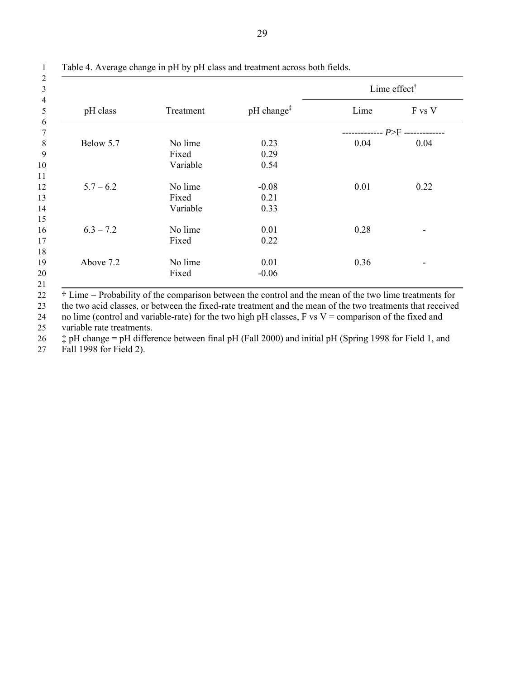|             |           |                        | Lime effect $^{\dagger}$ |        |  |  |  |
|-------------|-----------|------------------------|--------------------------|--------|--|--|--|
| pH class    | Treatment | pH change <sup>‡</sup> | Lime                     | F vs V |  |  |  |
|             |           |                        |                          |        |  |  |  |
| Below 5.7   | No lime   | 0.23                   | 0.04                     | 0.04   |  |  |  |
|             | Fixed     | 0.29                   |                          |        |  |  |  |
|             | Variable  | 0.54                   |                          |        |  |  |  |
|             |           |                        |                          |        |  |  |  |
| $5.7 - 6.2$ | No lime   | $-0.08$                | 0.01                     | 0.22   |  |  |  |
|             | Fixed     | 0.21                   |                          |        |  |  |  |
|             | Variable  | 0.33                   |                          |        |  |  |  |
|             |           |                        |                          |        |  |  |  |
| $6.3 - 7.2$ | No lime   | 0.01                   | 0.28                     |        |  |  |  |
|             | Fixed     | 0.22                   |                          |        |  |  |  |
|             |           |                        |                          |        |  |  |  |
| Above 7.2   | No lime   | 0.01                   | 0.36                     |        |  |  |  |
|             | Fixed     | $-0.06$                |                          |        |  |  |  |
|             |           |                        |                          |        |  |  |  |

1 Table 4. Average change in pH by pH class and treatment across both fields.

22 † Lime = Probability of the comparison between the control and the mean of the two lime treatments for

23 the two acid classes, or between the fixed-rate treatment and the mean of the two treatments that received 24 no lime (control and variable-rate) for the two high pH classes, F vs V = comparison of the fixed and

25 variable rate treatments.

26 ‡ pH change = pH difference between final pH (Fall 2000) and initial pH (Spring 1998 for Field 1, and

27 Fall 1998 for Field 2).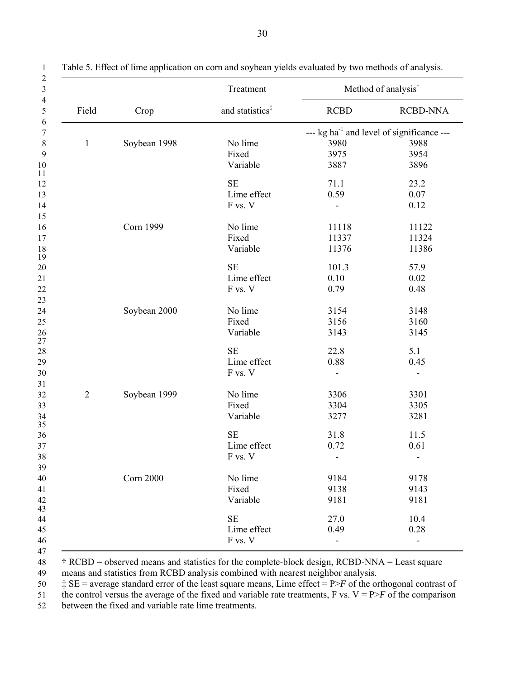|                |                  | Treatment                   |                                                       | Method of analysis <sup>†</sup> |  |  |
|----------------|------------------|-----------------------------|-------------------------------------------------------|---------------------------------|--|--|
| Field          | Crop             | and statistics <sup>‡</sup> | <b>RCBD</b>                                           | <b>RCBD-NNA</b>                 |  |  |
|                |                  |                             | --- kg ha <sup>-1</sup> and level of significance --- |                                 |  |  |
| $\mathbf{1}$   | Soybean 1998     | No lime                     | 3980<br>3988                                          |                                 |  |  |
|                |                  | Fixed                       | 3975                                                  | 3954                            |  |  |
|                |                  | Variable                    | 3887                                                  | 3896                            |  |  |
|                |                  | <b>SE</b>                   | 71.1                                                  | 23.2                            |  |  |
|                |                  | Lime effect                 | 0.59                                                  | 0.07                            |  |  |
|                |                  | F vs. V                     |                                                       | 0.12                            |  |  |
|                | <b>Corn 1999</b> | No lime                     | 11118                                                 | 11122                           |  |  |
|                |                  | Fixed                       | 11337                                                 | 11324                           |  |  |
|                |                  | Variable                    | 11376                                                 | 11386                           |  |  |
|                |                  | <b>SE</b>                   | 101.3                                                 | 57.9                            |  |  |
|                |                  | Lime effect                 | 0.10                                                  | 0.02                            |  |  |
|                |                  | F vs. V                     | 0.79                                                  | 0.48                            |  |  |
|                | Soybean 2000     | No lime                     | 3154                                                  | 3148                            |  |  |
|                |                  | Fixed                       | 3156                                                  | 3160                            |  |  |
|                |                  | Variable                    | 3143                                                  | 3145                            |  |  |
|                |                  | <b>SE</b>                   | 22.8                                                  | 5.1                             |  |  |
|                |                  | Lime effect                 | 0.88                                                  | 0.45                            |  |  |
|                |                  | F vs. V                     |                                                       |                                 |  |  |
| $\overline{2}$ | Soybean 1999     | No lime                     | 3306                                                  | 3301                            |  |  |
|                |                  | Fixed                       | 3304                                                  | 3305                            |  |  |
|                |                  | Variable                    | 3277                                                  | 3281                            |  |  |
|                |                  | <b>SE</b>                   | 31.8                                                  | 11.5                            |  |  |
|                |                  | Lime effect                 | 0.72                                                  | 0.61                            |  |  |
|                |                  | F vs. V                     |                                                       | $\overline{\phantom{a}}$        |  |  |
|                | <b>Corn 2000</b> | No lime                     | 9184                                                  | 9178                            |  |  |
|                |                  | Fixed                       | 9138                                                  | 9143                            |  |  |
|                |                  | Variable                    | 9181                                                  | 9181                            |  |  |
|                |                  | <b>SE</b>                   | 27.0                                                  | 10.4                            |  |  |
|                |                  | Lime effect                 | 0.49                                                  | 0.28                            |  |  |
|                |                  | F vs. V                     |                                                       | $\overline{a}$                  |  |  |

1 Table 5. Effect of lime application on corn and soybean yields evaluated by two methods of analysis.

48 † RCBD = observed means and statistics for the complete-block design, RCBD-NNA = Least square 49 means and statistics from RCBD analysis combined with nearest neighbor analysis.

50  $\ddagger$  SE = average standard error of the least square means, Lime effect = P>*F* of the orthogonal contrast of

51 the control versus the average of the fixed and variable rate treatments, F vs.  $V = P>F$  of the comparison

52 between the fixed and variable rate lime treatments.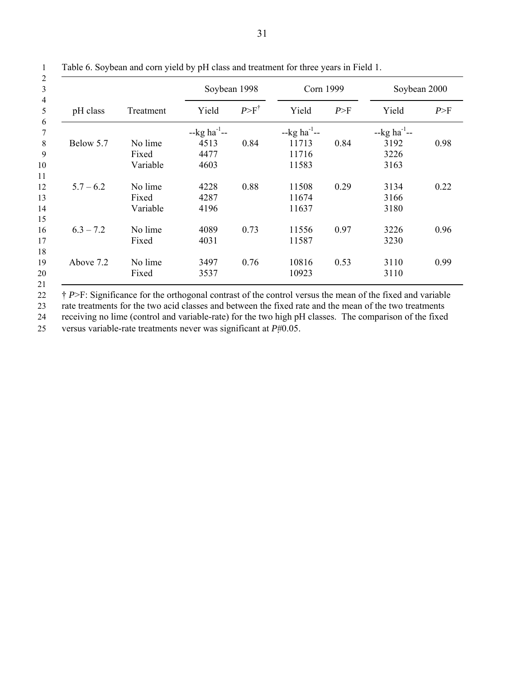|             |           | Soybean 1998              |                   | Corn 1999                 |      | Soybean 2000              |      |  |
|-------------|-----------|---------------------------|-------------------|---------------------------|------|---------------------------|------|--|
| pH class    | Treatment | Yield                     | $P > F^{\dagger}$ | Yield                     | P>F  | Yield                     | P>F  |  |
|             |           | $-kg$ ha <sup>-1</sup> -- |                   | $-kg$ ha <sup>-1</sup> -- |      | $-kg$ ha <sup>-1</sup> -- |      |  |
| Below 5.7   | No lime   | 4513                      | 0.84              | 11713                     | 0.84 | 3192                      | 0.98 |  |
|             | Fixed     | 4477                      |                   | 11716                     |      | 3226                      |      |  |
|             | Variable  | 4603                      |                   | 11583                     |      | 3163                      |      |  |
| $5.7 - 6.2$ | No lime   | 4228                      | 0.88              | 11508                     | 0.29 | 3134                      | 0.22 |  |
|             | Fixed     | 4287                      |                   | 11674                     |      | 3166                      |      |  |
|             | Variable  | 4196                      |                   | 11637                     |      | 3180                      |      |  |
| $6.3 - 7.2$ | No lime   | 4089                      | 0.73              | 11556                     | 0.97 | 3226                      | 0.96 |  |
|             | Fixed     | 4031                      |                   | 11587                     |      | 3230                      |      |  |
|             |           |                           |                   |                           |      |                           |      |  |
| Above 7.2   | No lime   | 3497                      | 0.76              | 10816                     | 0.53 | 3110                      | 0.99 |  |
|             | Fixed     | 3537                      |                   | 10923                     |      | 3110                      |      |  |

1 Table 6. Soybean and corn yield by pH class and treatment for three years in Field 1.

22 † *P*>F: Significance for the orthogonal contrast of the control versus the mean of the fixed and variable

23 rate treatments for the two acid classes and between the fixed rate and the mean of the two treatments<br>24 receiving no lime (control and variable-rate) for the two high pH classes. The comparison of the fixed receiving no lime (control and variable-rate) for the two high pH classes. The comparison of the fixed

25 versus variable-rate treatments never was significant at *P*#0.05.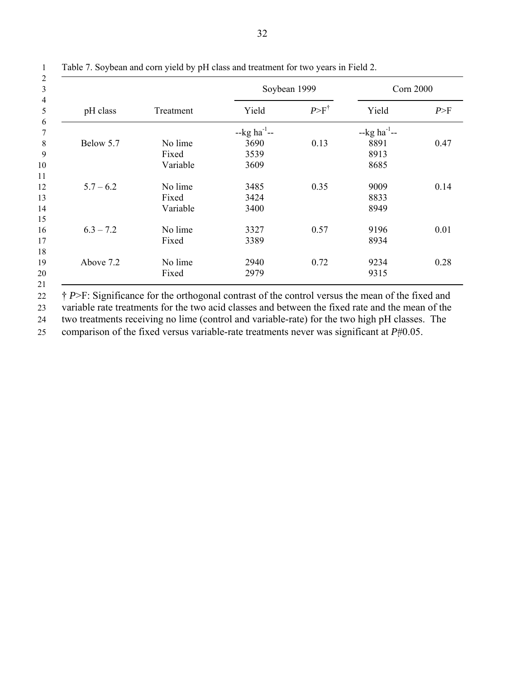|             |           | Soybean 1999              |                   | <b>Corn 2000</b>          |      |  |
|-------------|-----------|---------------------------|-------------------|---------------------------|------|--|
| pH class    | Treatment | Yield                     | $P > F^{\dagger}$ | Yield                     | P>F  |  |
|             |           | $-kg$ ha <sup>-1</sup> -- |                   | $-kg$ ha <sup>-1</sup> -- |      |  |
| Below 5.7   | No lime   | 3690                      | 0.13              | 8891                      | 0.47 |  |
|             | Fixed     | 3539                      |                   | 8913                      |      |  |
|             | Variable  | 3609                      |                   | 8685                      |      |  |
|             |           |                           |                   |                           |      |  |
| $5.7 - 6.2$ | No lime   | 3485                      | 0.35              | 9009                      | 0.14 |  |
|             | Fixed     | 3424                      |                   | 8833                      |      |  |
|             | Variable  | 3400                      |                   | 8949                      |      |  |
|             |           |                           |                   |                           |      |  |
| $6.3 - 7.2$ | No lime   | 3327                      | 0.57              | 9196                      | 0.01 |  |
|             | Fixed     | 3389                      |                   | 8934                      |      |  |
|             |           |                           |                   |                           |      |  |
| Above 7.2   | No lime   | 2940                      | 0.72              | 9234                      | 0.28 |  |
|             | Fixed     | 2979                      |                   | 9315                      |      |  |

1 Table 7. Soybean and corn yield by pH class and treatment for two years in Field 2.

<sup>22</sup> <sup>†</sup> *P*>F: Significance for the orthogonal contrast of the control versus the mean of the fixed and 23 variable rate treatments for the two acid classes and between the fixed rate and the mean of the 24 two treatments receiving no lime (control and variable-rate) for the two high pH classes. The

25 comparison of the fixed versus variable-rate treatments never was significant at *P*#0.05.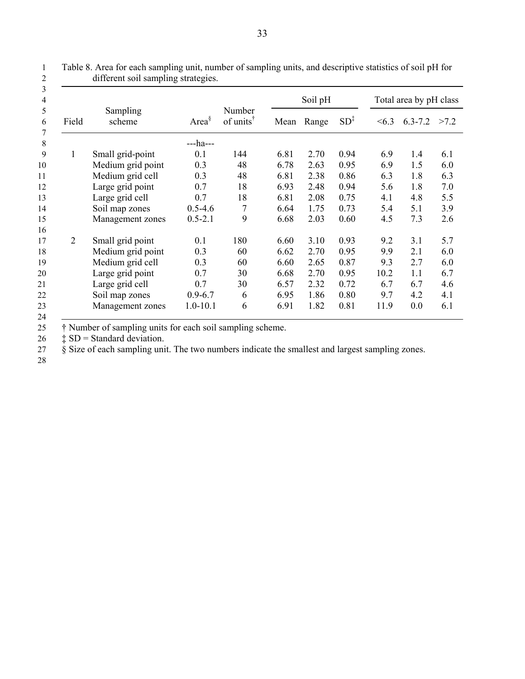|                |                    |               |                                                    |      | Soil pH |                 |      | Total area by pH class |      |  |  |
|----------------|--------------------|---------------|----------------------------------------------------|------|---------|-----------------|------|------------------------|------|--|--|
| Field          | Sampling<br>scheme | Area $\delta$ | Number<br>of units <sup><math>\dagger</math></sup> | Mean | Range   | SD <sub>1</sub> | <6.3 | $6.3 - 7.2$            | >7.2 |  |  |
|                |                    | ---ha---      |                                                    |      |         |                 |      |                        |      |  |  |
| 1              | Small grid-point   | 0.1           | 144                                                | 6.81 | 2.70    | 0.94            | 6.9  | 1.4                    | 6.1  |  |  |
|                | Medium grid point  | 0.3           | 48                                                 | 6.78 | 2.63    | 0.95            | 6.9  | 1.5                    | 6.0  |  |  |
|                | Medium grid cell   | 0.3           | 48                                                 | 6.81 | 2.38    | 0.86            | 6.3  | 1.8                    | 6.3  |  |  |
|                | Large grid point   | 0.7           | 18                                                 | 6.93 | 2.48    | 0.94            | 5.6  | 1.8                    | 7.0  |  |  |
|                | Large grid cell    | 0.7           | 18                                                 | 6.81 | 2.08    | 0.75            | 4.1  | 4.8                    | 5.5  |  |  |
|                | Soil map zones     | $0.5 - 4.6$   | $\overline{7}$                                     | 6.64 | 1.75    | 0.73            | 5.4  | 5.1                    | 3.9  |  |  |
|                | Management zones   | $0.5 - 2.1$   | 9                                                  | 6.68 | 2.03    | 0.60            | 4.5  | 7.3                    | 2.6  |  |  |
|                |                    |               |                                                    |      |         |                 |      |                        |      |  |  |
| $\overline{2}$ | Small grid point   | 0.1           | 180                                                | 6.60 | 3.10    | 0.93            | 9.2  | 3.1                    | 5.7  |  |  |
|                | Medium grid point  | 0.3           | 60                                                 | 6.62 | 2.70    | 0.95            | 9.9  | 2.1                    | 6.0  |  |  |
|                | Medium grid cell   | 0.3           | 60                                                 | 6.60 | 2.65    | 0.87            | 9.3  | 2.7                    | 6.0  |  |  |
|                | Large grid point   | 0.7           | 30                                                 | 6.68 | 2.70    | 0.95            | 10.2 | 1.1                    | 6.7  |  |  |
|                | Large grid cell    | 0.7           | 30                                                 | 6.57 | 2.32    | 0.72            | 6.7  | 6.7                    | 4.6  |  |  |
|                | Soil map zones     | $0.9 - 6.7$   | 6                                                  | 6.95 | 1.86    | 0.80            | 9.7  | 4.2                    | 4.1  |  |  |
|                | Management zones   | $1.0 - 10.1$  | 6                                                  | 6.91 | 1.82    | 0.81            | 11.9 | 0.0                    | 6.1  |  |  |
|                |                    |               |                                                    |      |         |                 |      |                        |      |  |  |

1 Table 8. Area for each sampling unit, number of sampling units, and descriptive statistics of soil pH for different soil sampling strategies.

 $\frac{24}{25}$ 25 <sup>†</sup> Number of sampling units for each soil sampling scheme.<br>26 <sup>†</sup> SD = Standard deviation.<br>27 § Size of each sampling unit. The two numbers indicate the

 $\ddagger$  SD = Standard deviation.

 $\dot{\S}$  Size of each sampling unit. The two numbers indicate the smallest and largest sampling zones.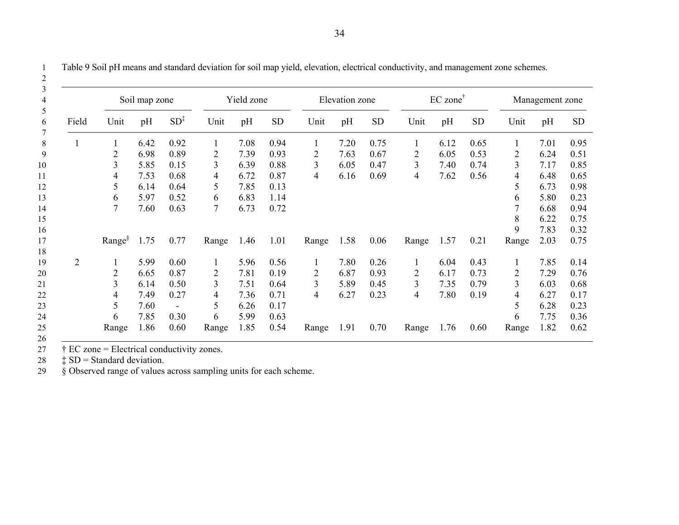| Field          | Soil map zone  |      |                 | Yield zone |      |           | Elevation zone |      | $EC$ zone <sup>†</sup> |                |      | Management zone |       |      |           |
|----------------|----------------|------|-----------------|------------|------|-----------|----------------|------|------------------------|----------------|------|-----------------|-------|------|-----------|
|                | Unit           | pH   | $SD^{\ddagger}$ | Unit       | pH   | <b>SD</b> | Unit           | pH   | <b>SD</b>              | Unit           | pH   | <b>SD</b>       | Unit  | pH   | <b>SD</b> |
|                |                | 6.42 | 0.92            |            | 7.08 | 0.94      |                | 7.20 | 0.75                   |                | 6.12 | 0.65            |       | 7.01 | 0.95      |
|                | $\overline{2}$ | 6.98 | 0.89            | 2          | 7.39 | 0.93      | 2              | 7.63 | 0.67                   | 2              | 6.05 | 0.53            | 2     | 6.24 | 0.51      |
|                | 3              | 5.85 | 0.15            | 3          | 6.39 | 0.88      | 3              | 6.05 | 0.47                   | $\overline{3}$ | 7.40 | 0.74            | 3     | 7.17 | 0.85      |
|                | 4              | 7.53 | 0.68            | 4          | 6.72 | 0.87      | 4              | 6.16 | 0.69                   | 4              | 7.62 | 0.56            | 4     | 6.48 | 0.65      |
|                | 5              | 6.14 | 0.64            | 5          | 7.85 | 0.13      |                |      |                        |                |      |                 | 5     | 6.73 | 0.98      |
|                | 6              | 5.97 | 0.52            | 6          | 6.83 | 1.14      |                |      |                        |                |      |                 | 6     | 5.80 | 0.23      |
|                | 7              | 7.60 | 0.63            | 7          | 6.73 | 0.72      |                |      |                        |                |      |                 |       | 6.68 | 0.94      |
|                |                |      |                 |            |      |           |                |      |                        |                |      |                 | 8     | 6.22 | 0.75      |
|                |                |      |                 |            |      |           |                |      |                        |                |      |                 | 9     | 7.83 | 0.32      |
|                | $Range^{\S}$   | 1.75 | 0.77            | Range      | 1.46 | 1.01      | Range          | 1.58 | 0.06                   | Range          | 1.57 | 0.21            | Range | 2.03 | 0.75      |
| $\overline{2}$ | 1              | 5.99 | 0.60            | 1          | 5.96 | 0.56      | 1              | 7.80 | 0.26                   | 1              | 6.04 | 0.43            | 1     | 7.85 | 0.14      |
|                | $\overline{2}$ | 6.65 | 0.87            | 2          | 7.81 | 0.19      | 2              | 6.87 | 0.93                   | 2              | 6.17 | 0.73            | 2     | 7.29 | 0.76      |
|                | 3              | 6.14 | 0.50            | 3          | 7.51 | 0.64      | 3              | 5.89 | 0.45                   | $\overline{3}$ | 7.35 | 0.79            | 3     | 6.03 | 0.68      |
|                | 4              | 7.49 | 0.27            | 4          | 7.36 | 0.71      | 4              | 6.27 | 0.23                   | 4              | 7.80 | 0.19            | 4     | 6.27 | 0.17      |
|                | 5              | 7.60 |                 | 5          | 6.26 | 0.17      |                |      |                        |                |      |                 | 5     | 6.28 | 0.23      |
|                | 6              | 7.85 | 0.30            | 6          | 5.99 | 0.63      |                |      |                        |                |      |                 | 6     | 7.75 | 0.36      |
|                | Range          | 1.86 | 0.60            | Range      | 1.85 | 0.54      | Range          | 1.91 | 0.70                   | Range          | 1.76 | 0.60            | Range | 1.82 | 0.62      |

1 Table 9 Soil pH means and standard deviation for soil map yield, elevation, electrical conductivity, and management zone schemes.

27  $\uparrow$  EC zone = Electrical conductivity zones.<br>28  $\downarrow$  SD = Standard deviation.

28  $\sharp$  SD = Standard deviation.<br>29  $\sharp$  Observed range of values

 $\dot{\S}$  Observed range of values across sampling units for each scheme.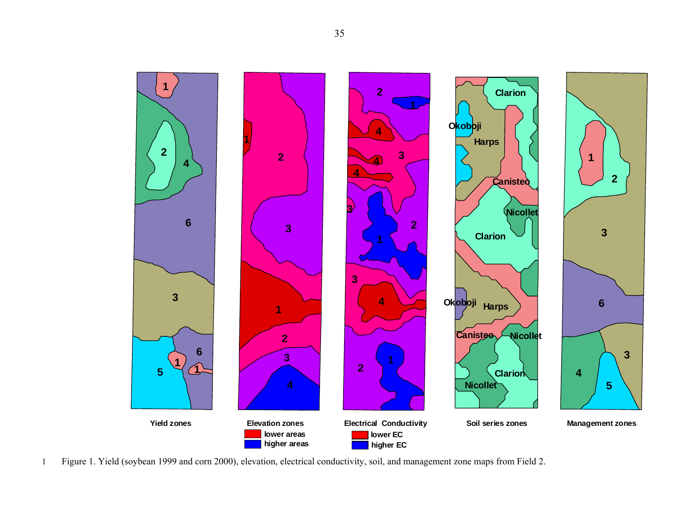

1 Figure 1. Yield (soybean 1999 and corn 2000), elevation, electrical conductivity, soil, and management zone maps from Field 2.